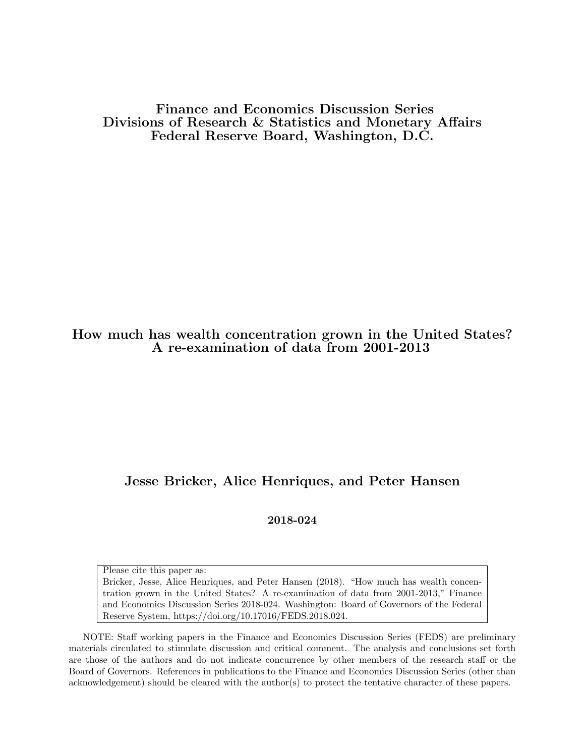Finance and Economics Discussion Series Divisions of Research & Statistics and Monetary Affairs Federal Reserve Board, Washington, D.C.

### How much has wealth concentration grown in the United States? A re-examination of data from 2001-2013

### Jesse Bricker, Alice Henriques, and Peter Hansen

2018-024

Please cite this paper as:

Bricker, Jesse, Alice Henriques, and Peter Hansen (2018). "How much has wealth concentration grown in the United States? A re-examination of data from 2001-2013," Finance and Economics Discussion Series 2018-024. Washington: Board of Governors of the Federal Reserve System, https://doi.org/10.17016/FEDS.2018.024.

NOTE: Staff working papers in the Finance and Economics Discussion Series (FEDS) are preliminary materials circulated to stimulate discussion and critical comment. The analysis and conclusions set forth are those of the authors and do not indicate concurrence by other members of the research staff or the Board of Governors. References in publications to the Finance and Economics Discussion Series (other than acknowledgement) should be cleared with the author(s) to protect the tentative character of these papers.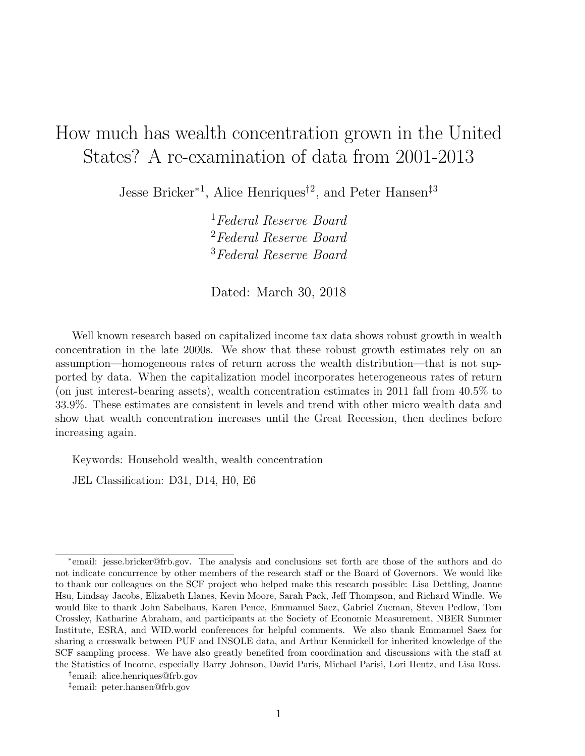# How much has wealth concentration grown in the United States? A re-examination of data from 2001-2013

Jesse Bricker<sup>∗1</sup>, Alice Henriques<sup>†2</sup>, and Peter Hansen<sup>‡3</sup>

<sup>1</sup>Federal Reserve Board <sup>2</sup>Federal Reserve Board <sup>3</sup>Federal Reserve Board

Dated: March 30, 2018

Well known research based on capitalized income tax data shows robust growth in wealth concentration in the late 2000s. We show that these robust growth estimates rely on an assumption—homogeneous rates of return across the wealth distribution—that is not supported by data. When the capitalization model incorporates heterogeneous rates of return (on just interest-bearing assets), wealth concentration estimates in 2011 fall from 40.5% to 33.9%. These estimates are consistent in levels and trend with other micro wealth data and show that wealth concentration increases until the Great Recession, then declines before increasing again.

Keywords: Household wealth, wealth concentration

JEL Classification: D31, D14, H0, E6

<sup>∗</sup> email: jesse.bricker@frb.gov. The analysis and conclusions set forth are those of the authors and do not indicate concurrence by other members of the research staff or the Board of Governors. We would like to thank our colleagues on the SCF project who helped make this research possible: Lisa Dettling, Joanne Hsu, Lindsay Jacobs, Elizabeth Llanes, Kevin Moore, Sarah Pack, Jeff Thompson, and Richard Windle. We would like to thank John Sabelhaus, Karen Pence, Emmanuel Saez, Gabriel Zucman, Steven Pedlow, Tom Crossley, Katharine Abraham, and participants at the Society of Economic Measurement, NBER Summer Institute, ESRA, and WID.world conferences for helpful comments. We also thank Emmanuel Saez for sharing a crosswalk between PUF and INSOLE data, and Arthur Kennickell for inherited knowledge of the SCF sampling process. We have also greatly benefited from coordination and discussions with the staff at the Statistics of Income, especially Barry Johnson, David Paris, Michael Parisi, Lori Hentz, and Lisa Russ.

<sup>†</sup> email: alice.henriques@frb.gov

<sup>‡</sup> email: peter.hansen@frb.gov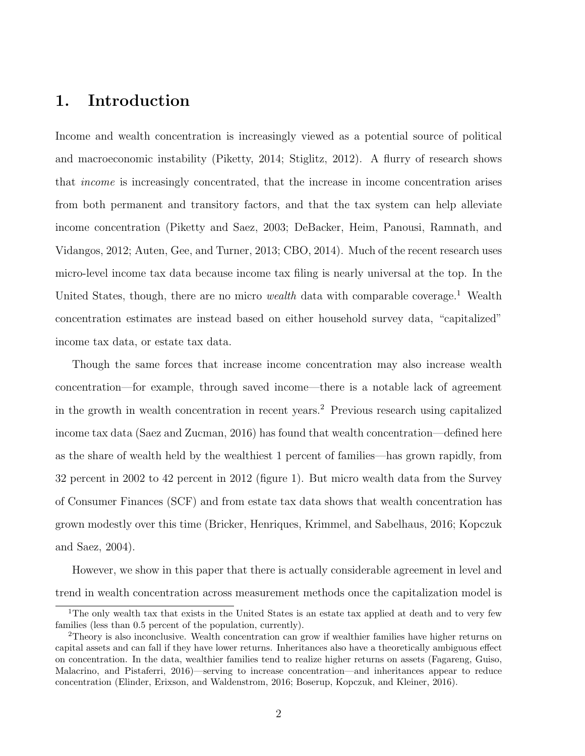# 1. Introduction

Income and wealth concentration is increasingly viewed as a potential source of political and macroeconomic instability (Piketty, 2014; Stiglitz, 2012). A flurry of research shows that income is increasingly concentrated, that the increase in income concentration arises from both permanent and transitory factors, and that the tax system can help alleviate income concentration (Piketty and Saez, 2003; DeBacker, Heim, Panousi, Ramnath, and Vidangos, 2012; Auten, Gee, and Turner, 2013; CBO, 2014). Much of the recent research uses micro-level income tax data because income tax filing is nearly universal at the top. In the United States, though, there are no micro wealth data with comparable coverage.<sup>1</sup> Wealth concentration estimates are instead based on either household survey data, "capitalized" income tax data, or estate tax data.

Though the same forces that increase income concentration may also increase wealth concentration—for example, through saved income—there is a notable lack of agreement in the growth in wealth concentration in recent years.<sup>2</sup> Previous research using capitalized income tax data (Saez and Zucman, 2016) has found that wealth concentration—defined here as the share of wealth held by the wealthiest 1 percent of families—has grown rapidly, from 32 percent in 2002 to 42 percent in 2012 (figure 1). But micro wealth data from the Survey of Consumer Finances (SCF) and from estate tax data shows that wealth concentration has grown modestly over this time (Bricker, Henriques, Krimmel, and Sabelhaus, 2016; Kopczuk and Saez, 2004).

However, we show in this paper that there is actually considerable agreement in level and trend in wealth concentration across measurement methods once the capitalization model is

<sup>&</sup>lt;sup>1</sup>The only wealth tax that exists in the United States is an estate tax applied at death and to very few families (less than 0.5 percent of the population, currently).

<sup>2</sup>Theory is also inconclusive. Wealth concentration can grow if wealthier families have higher returns on capital assets and can fall if they have lower returns. Inheritances also have a theoretically ambiguous effect on concentration. In the data, wealthier families tend to realize higher returns on assets (Fagareng, Guiso, Malacrino, and Pistaferri, 2016)—serving to increase concentration—and inheritances appear to reduce concentration (Elinder, Erixson, and Waldenstrom, 2016; Boserup, Kopczuk, and Kleiner, 2016).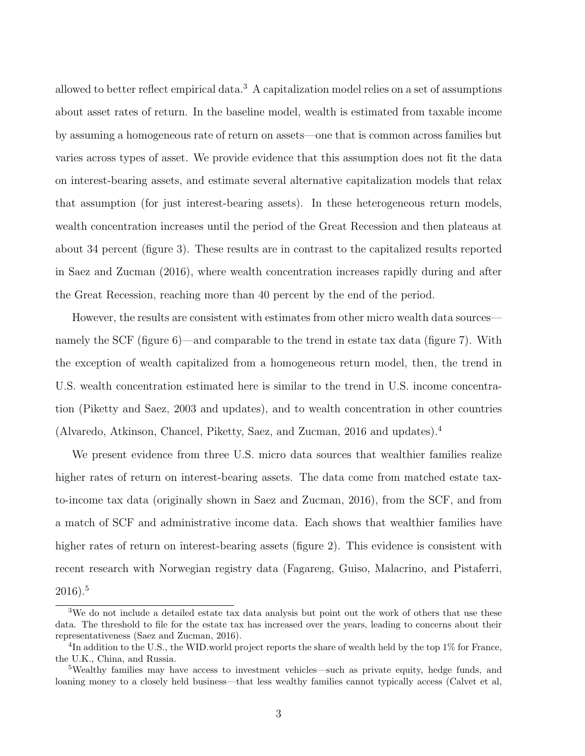allowed to better reflect empirical data.<sup>3</sup> A capitalization model relies on a set of assumptions about asset rates of return. In the baseline model, wealth is estimated from taxable income by assuming a homogeneous rate of return on assets—one that is common across families but varies across types of asset. We provide evidence that this assumption does not fit the data on interest-bearing assets, and estimate several alternative capitalization models that relax that assumption (for just interest-bearing assets). In these heterogeneous return models, wealth concentration increases until the period of the Great Recession and then plateaus at about 34 percent (figure 3). These results are in contrast to the capitalized results reported in Saez and Zucman (2016), where wealth concentration increases rapidly during and after the Great Recession, reaching more than 40 percent by the end of the period.

However, the results are consistent with estimates from other micro wealth data sources namely the SCF (figure 6)—and comparable to the trend in estate tax data (figure 7). With the exception of wealth capitalized from a homogeneous return model, then, the trend in U.S. wealth concentration estimated here is similar to the trend in U.S. income concentration (Piketty and Saez, 2003 and updates), and to wealth concentration in other countries (Alvaredo, Atkinson, Chancel, Piketty, Saez, and Zucman, 2016 and updates).<sup>4</sup>

We present evidence from three U.S. micro data sources that wealthier families realize higher rates of return on interest-bearing assets. The data come from matched estate taxto-income tax data (originally shown in Saez and Zucman, 2016), from the SCF, and from a match of SCF and administrative income data. Each shows that wealthier families have higher rates of return on interest-bearing assets (figure 2). This evidence is consistent with recent research with Norwegian registry data (Fagareng, Guiso, Malacrino, and Pistaferri, 2016).<sup>5</sup>

<sup>&</sup>lt;sup>3</sup>We do not include a detailed estate tax data analysis but point out the work of others that use these data. The threshold to file for the estate tax has increased over the years, leading to concerns about their representativeness (Saez and Zucman, 2016).

 ${}^{4}$ In addition to the U.S., the WID.world project reports the share of wealth held by the top 1% for France, the U.K., China, and Russia.

<sup>&</sup>lt;sup>5</sup>Wealthy families may have access to investment vehicles—such as private equity, hedge funds, and loaning money to a closely held business—that less wealthy families cannot typically access (Calvet et al,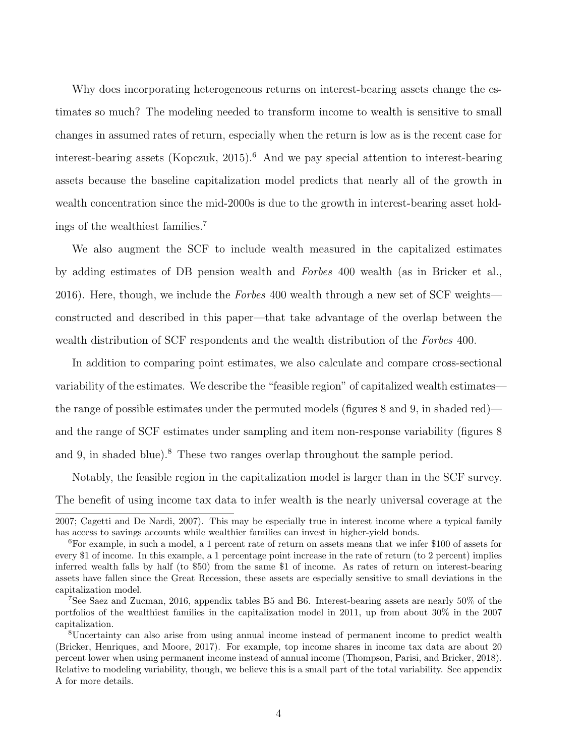Why does incorporating heterogeneous returns on interest-bearing assets change the estimates so much? The modeling needed to transform income to wealth is sensitive to small changes in assumed rates of return, especially when the return is low as is the recent case for interest-bearing assets (Kopczuk, 2015).<sup>6</sup> And we pay special attention to interest-bearing assets because the baseline capitalization model predicts that nearly all of the growth in wealth concentration since the mid-2000s is due to the growth in interest-bearing asset holdings of the wealthiest families.<sup>7</sup>

We also augment the SCF to include wealth measured in the capitalized estimates by adding estimates of DB pension wealth and Forbes 400 wealth (as in Bricker et al., 2016). Here, though, we include the Forbes 400 wealth through a new set of SCF weights constructed and described in this paper—that take advantage of the overlap between the wealth distribution of SCF respondents and the wealth distribution of the Forbes 400.

In addition to comparing point estimates, we also calculate and compare cross-sectional variability of the estimates. We describe the "feasible region" of capitalized wealth estimates the range of possible estimates under the permuted models (figures 8 and 9, in shaded red) and the range of SCF estimates under sampling and item non-response variability (figures 8 and 9, in shaded blue).<sup>8</sup> These two ranges overlap throughout the sample period.

Notably, the feasible region in the capitalization model is larger than in the SCF survey. The benefit of using income tax data to infer wealth is the nearly universal coverage at the

<sup>2007;</sup> Cagetti and De Nardi, 2007). This may be especially true in interest income where a typical family has access to savings accounts while wealthier families can invest in higher-yield bonds.

<sup>6</sup>For example, in such a model, a 1 percent rate of return on assets means that we infer \$100 of assets for every \$1 of income. In this example, a 1 percentage point increase in the rate of return (to 2 percent) implies inferred wealth falls by half (to \$50) from the same \$1 of income. As rates of return on interest-bearing assets have fallen since the Great Recession, these assets are especially sensitive to small deviations in the capitalization model.

<sup>7</sup>See Saez and Zucman, 2016, appendix tables B5 and B6. Interest-bearing assets are nearly 50% of the portfolios of the wealthiest families in the capitalization model in 2011, up from about 30% in the 2007 capitalization.

<sup>8</sup>Uncertainty can also arise from using annual income instead of permanent income to predict wealth (Bricker, Henriques, and Moore, 2017). For example, top income shares in income tax data are about 20 percent lower when using permanent income instead of annual income (Thompson, Parisi, and Bricker, 2018). Relative to modeling variability, though, we believe this is a small part of the total variability. See appendix A for more details.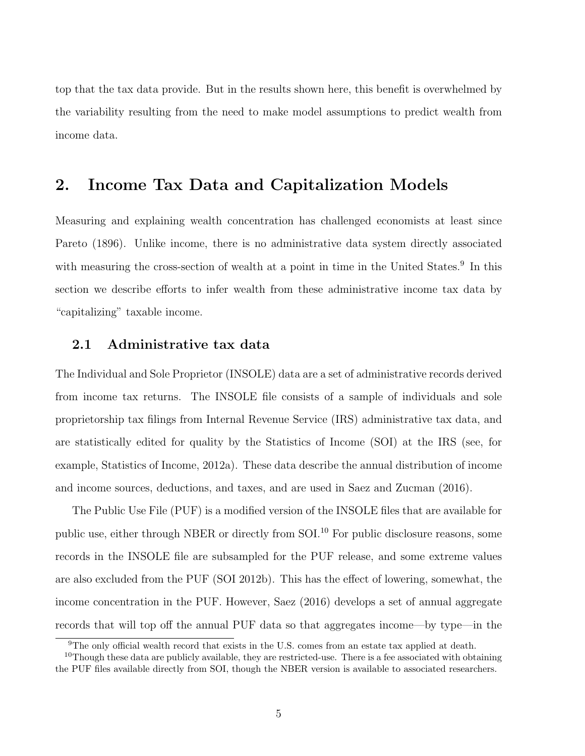top that the tax data provide. But in the results shown here, this benefit is overwhelmed by the variability resulting from the need to make model assumptions to predict wealth from income data.

### 2. Income Tax Data and Capitalization Models

Measuring and explaining wealth concentration has challenged economists at least since Pareto (1896). Unlike income, there is no administrative data system directly associated with measuring the cross-section of wealth at a point in time in the United States.<sup>9</sup> In this section we describe efforts to infer wealth from these administrative income tax data by "capitalizing" taxable income.

### 2.1 Administrative tax data

The Individual and Sole Proprietor (INSOLE) data are a set of administrative records derived from income tax returns. The INSOLE file consists of a sample of individuals and sole proprietorship tax filings from Internal Revenue Service (IRS) administrative tax data, and are statistically edited for quality by the Statistics of Income (SOI) at the IRS (see, for example, Statistics of Income, 2012a). These data describe the annual distribution of income and income sources, deductions, and taxes, and are used in Saez and Zucman (2016).

The Public Use File (PUF) is a modified version of the INSOLE files that are available for public use, either through NBER or directly from SOI.<sup>10</sup> For public disclosure reasons, some records in the INSOLE file are subsampled for the PUF release, and some extreme values are also excluded from the PUF (SOI 2012b). This has the effect of lowering, somewhat, the income concentration in the PUF. However, Saez (2016) develops a set of annual aggregate records that will top off the annual PUF data so that aggregates income—by type—in the

<sup>&</sup>lt;sup>9</sup>The only official wealth record that exists in the U.S. comes from an estate tax applied at death.

 $10$ Though these data are publicly available, they are restricted-use. There is a fee associated with obtaining the PUF files available directly from SOI, though the NBER version is available to associated researchers.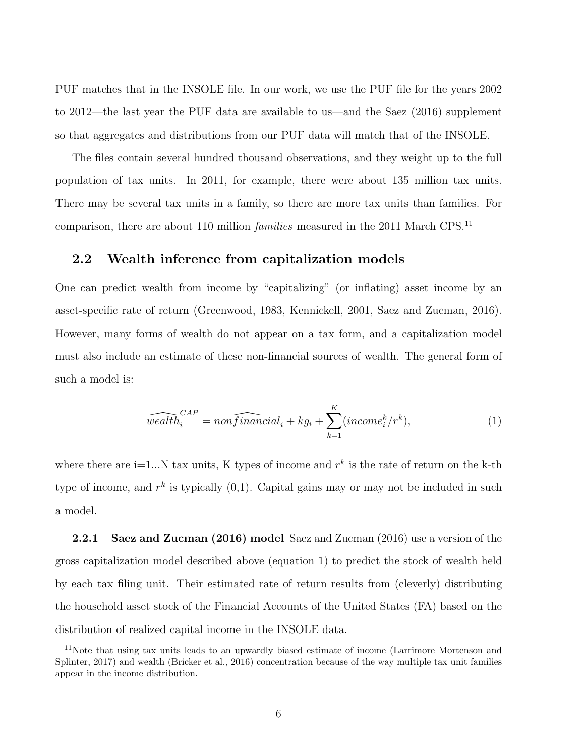PUF matches that in the INSOLE file. In our work, we use the PUF file for the years 2002 to 2012—the last year the PUF data are available to us—and the Saez (2016) supplement so that aggregates and distributions from our PUF data will match that of the INSOLE.

The files contain several hundred thousand observations, and they weight up to the full population of tax units. In 2011, for example, there were about 135 million tax units. There may be several tax units in a family, so there are more tax units than families. For comparison, there are about 110 million *families* measured in the 2011 March CPS.<sup>11</sup>

### 2.2 Wealth inference from capitalization models

One can predict wealth from income by "capitalizing" (or inflating) asset income by an asset-specific rate of return (Greenwood, 1983, Kennickell, 2001, Saez and Zucman, 2016). However, many forms of wealth do not appear on a tax form, and a capitalization model must also include an estimate of these non-financial sources of wealth. The general form of such a model is:

$$
\widehat{wealth}_i^{CAP} = nonfinal_i + kg_i + \sum_{k=1}^{K} (income_i^k / r^k), \tag{1}
$$

where there are  $i=1...N$  tax units, K types of income and  $r^k$  is the rate of return on the k-th type of income, and  $r^k$  is typically  $(0,1)$ . Capital gains may or may not be included in such a model.

2.2.1 Saez and Zucman (2016) model Saez and Zucman (2016) use a version of the gross capitalization model described above (equation 1) to predict the stock of wealth held by each tax filing unit. Their estimated rate of return results from (cleverly) distributing the household asset stock of the Financial Accounts of the United States (FA) based on the distribution of realized capital income in the INSOLE data.

<sup>&</sup>lt;sup>11</sup>Note that using tax units leads to an upwardly biased estimate of income (Larrimore Mortenson and Splinter, 2017) and wealth (Bricker et al., 2016) concentration because of the way multiple tax unit families appear in the income distribution.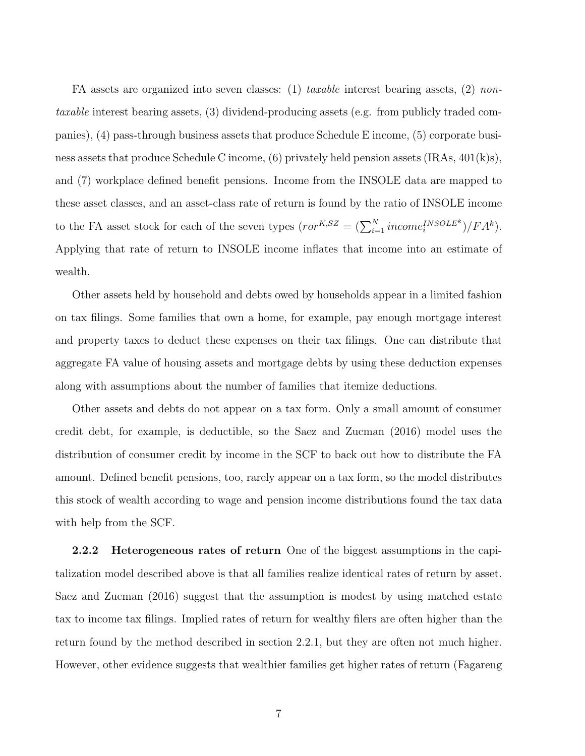FA assets are organized into seven classes: (1) taxable interest bearing assets, (2) nontaxable interest bearing assets, (3) dividend-producing assets (e.g. from publicly traded companies), (4) pass-through business assets that produce Schedule E income, (5) corporate business assets that produce Schedule C income,  $(6)$  privately held pension assets  $(IRAs, 401(k)s)$ , and (7) workplace defined benefit pensions. Income from the INSOLE data are mapped to these asset classes, and an asset-class rate of return is found by the ratio of INSOLE income to the FA asset stock for each of the seven types  $(ror^{K, SZ} = (\sum_{i=1}^{N} income_i^{INSOLEk})/FA^k)$ . Applying that rate of return to INSOLE income inflates that income into an estimate of wealth.

Other assets held by household and debts owed by households appear in a limited fashion on tax filings. Some families that own a home, for example, pay enough mortgage interest and property taxes to deduct these expenses on their tax filings. One can distribute that aggregate FA value of housing assets and mortgage debts by using these deduction expenses along with assumptions about the number of families that itemize deductions.

Other assets and debts do not appear on a tax form. Only a small amount of consumer credit debt, for example, is deductible, so the Saez and Zucman (2016) model uses the distribution of consumer credit by income in the SCF to back out how to distribute the FA amount. Defined benefit pensions, too, rarely appear on a tax form, so the model distributes this stock of wealth according to wage and pension income distributions found the tax data with help from the SCF.

2.2.2 Heterogeneous rates of return One of the biggest assumptions in the capitalization model described above is that all families realize identical rates of return by asset. Saez and Zucman (2016) suggest that the assumption is modest by using matched estate tax to income tax filings. Implied rates of return for wealthy filers are often higher than the return found by the method described in section 2.2.1, but they are often not much higher. However, other evidence suggests that wealthier families get higher rates of return (Fagareng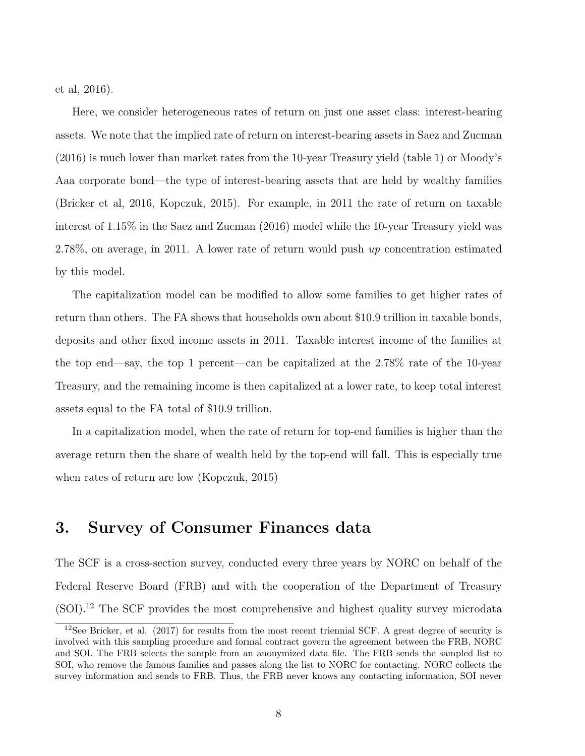et al, 2016).

Here, we consider heterogeneous rates of return on just one asset class: interest-bearing assets. We note that the implied rate of return on interest-bearing assets in Saez and Zucman (2016) is much lower than market rates from the 10-year Treasury yield (table 1) or Moody's Aaa corporate bond—the type of interest-bearing assets that are held by wealthy families (Bricker et al, 2016, Kopczuk, 2015). For example, in 2011 the rate of return on taxable interest of 1.15% in the Saez and Zucman (2016) model while the 10-year Treasury yield was 2.78%, on average, in 2011. A lower rate of return would push up concentration estimated by this model.

The capitalization model can be modified to allow some families to get higher rates of return than others. The FA shows that households own about \$10.9 trillion in taxable bonds, deposits and other fixed income assets in 2011. Taxable interest income of the families at the top end—say, the top 1 percent—can be capitalized at the 2.78% rate of the 10-year Treasury, and the remaining income is then capitalized at a lower rate, to keep total interest assets equal to the FA total of \$10.9 trillion.

In a capitalization model, when the rate of return for top-end families is higher than the average return then the share of wealth held by the top-end will fall. This is especially true when rates of return are low (Kopczuk, 2015)

### 3. Survey of Consumer Finances data

The SCF is a cross-section survey, conducted every three years by NORC on behalf of the Federal Reserve Board (FRB) and with the cooperation of the Department of Treasury (SOI).<sup>12</sup> The SCF provides the most comprehensive and highest quality survey microdata

 $12$ See Bricker, et al. (2017) for results from the most recent triennial SCF. A great degree of security is involved with this sampling procedure and formal contract govern the agreement between the FRB, NORC and SOI. The FRB selects the sample from an anonymized data file. The FRB sends the sampled list to SOI, who remove the famous families and passes along the list to NORC for contacting. NORC collects the survey information and sends to FRB. Thus, the FRB never knows any contacting information, SOI never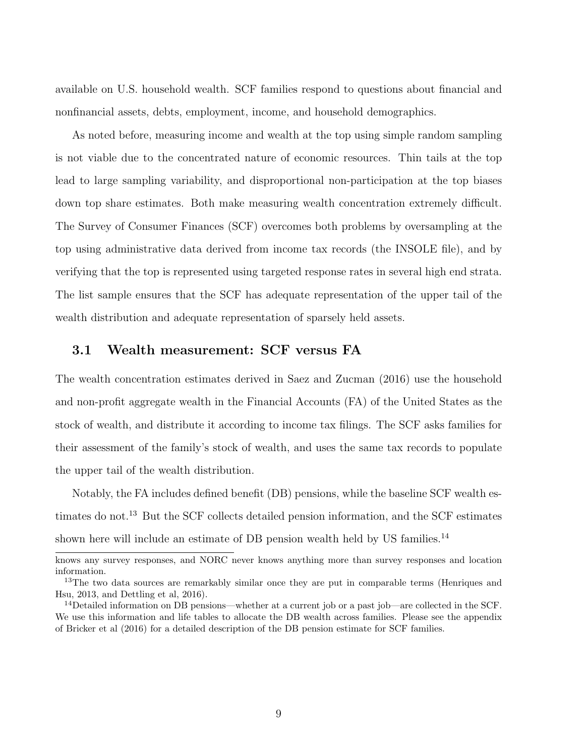available on U.S. household wealth. SCF families respond to questions about financial and nonfinancial assets, debts, employment, income, and household demographics.

As noted before, measuring income and wealth at the top using simple random sampling is not viable due to the concentrated nature of economic resources. Thin tails at the top lead to large sampling variability, and disproportional non-participation at the top biases down top share estimates. Both make measuring wealth concentration extremely difficult. The Survey of Consumer Finances (SCF) overcomes both problems by oversampling at the top using administrative data derived from income tax records (the INSOLE file), and by verifying that the top is represented using targeted response rates in several high end strata. The list sample ensures that the SCF has adequate representation of the upper tail of the wealth distribution and adequate representation of sparsely held assets.

#### 3.1 Wealth measurement: SCF versus FA

The wealth concentration estimates derived in Saez and Zucman (2016) use the household and non-profit aggregate wealth in the Financial Accounts (FA) of the United States as the stock of wealth, and distribute it according to income tax filings. The SCF asks families for their assessment of the family's stock of wealth, and uses the same tax records to populate the upper tail of the wealth distribution.

Notably, the FA includes defined benefit (DB) pensions, while the baseline SCF wealth estimates do not.<sup>13</sup> But the SCF collects detailed pension information, and the SCF estimates shown here will include an estimate of DB pension wealth held by US families.<sup>14</sup>

knows any survey responses, and NORC never knows anything more than survey responses and location information.

<sup>&</sup>lt;sup>13</sup>The two data sources are remarkably similar once they are put in comparable terms (Henriques and Hsu, 2013, and Dettling et al, 2016).

<sup>14</sup>Detailed information on DB pensions—whether at a current job or a past job—are collected in the SCF. We use this information and life tables to allocate the DB wealth across families. Please see the appendix of Bricker et al (2016) for a detailed description of the DB pension estimate for SCF families.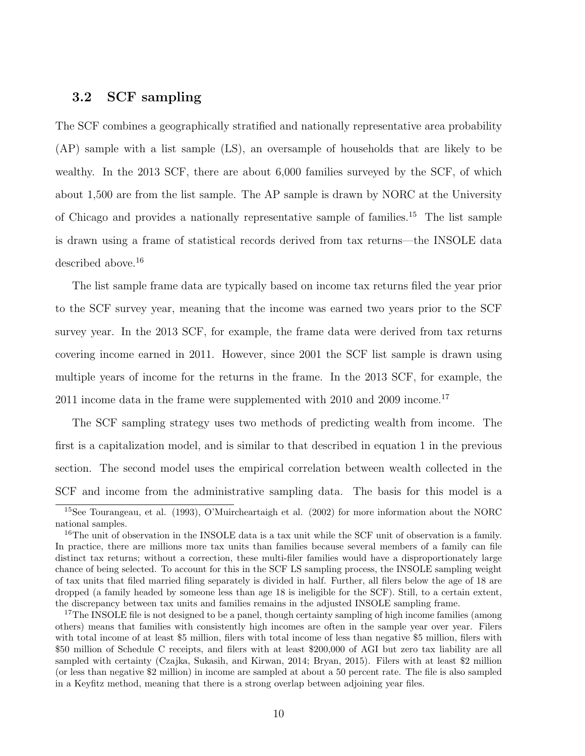#### 3.2 SCF sampling

The SCF combines a geographically stratified and nationally representative area probability (AP) sample with a list sample (LS), an oversample of households that are likely to be wealthy. In the 2013 SCF, there are about 6,000 families surveyed by the SCF, of which about 1,500 are from the list sample. The AP sample is drawn by NORC at the University of Chicago and provides a nationally representative sample of families.<sup>15</sup> The list sample is drawn using a frame of statistical records derived from tax returns—the INSOLE data described above.<sup>16</sup>

The list sample frame data are typically based on income tax returns filed the year prior to the SCF survey year, meaning that the income was earned two years prior to the SCF survey year. In the 2013 SCF, for example, the frame data were derived from tax returns covering income earned in 2011. However, since 2001 the SCF list sample is drawn using multiple years of income for the returns in the frame. In the 2013 SCF, for example, the 2011 income data in the frame were supplemented with  $2010$  and  $2009$  income.<sup>17</sup>

The SCF sampling strategy uses two methods of predicting wealth from income. The first is a capitalization model, and is similar to that described in equation 1 in the previous section. The second model uses the empirical correlation between wealth collected in the SCF and income from the administrative sampling data. The basis for this model is a

<sup>15</sup>See Tourangeau, et al. (1993), O'Muircheartaigh et al. (2002) for more information about the NORC national samples.

<sup>&</sup>lt;sup>16</sup>The unit of observation in the INSOLE data is a tax unit while the SCF unit of observation is a family. In practice, there are millions more tax units than families because several members of a family can file distinct tax returns; without a correction, these multi-filer families would have a disproportionately large chance of being selected. To account for this in the SCF LS sampling process, the INSOLE sampling weight of tax units that filed married filing separately is divided in half. Further, all filers below the age of 18 are dropped (a family headed by someone less than age 18 is ineligible for the SCF). Still, to a certain extent, the discrepancy between tax units and families remains in the adjusted INSOLE sampling frame.

<sup>&</sup>lt;sup>17</sup>The INSOLE file is not designed to be a panel, though certainty sampling of high income families (among others) means that families with consistently high incomes are often in the sample year over year. Filers with total income of at least \$5 million, filers with total income of less than negative \$5 million, filers with \$50 million of Schedule C receipts, and filers with at least \$200,000 of AGI but zero tax liability are all sampled with certainty (Czajka, Sukasih, and Kirwan, 2014; Bryan, 2015). Filers with at least \$2 million (or less than negative \$2 million) in income are sampled at about a 50 percent rate. The file is also sampled in a Keyfitz method, meaning that there is a strong overlap between adjoining year files.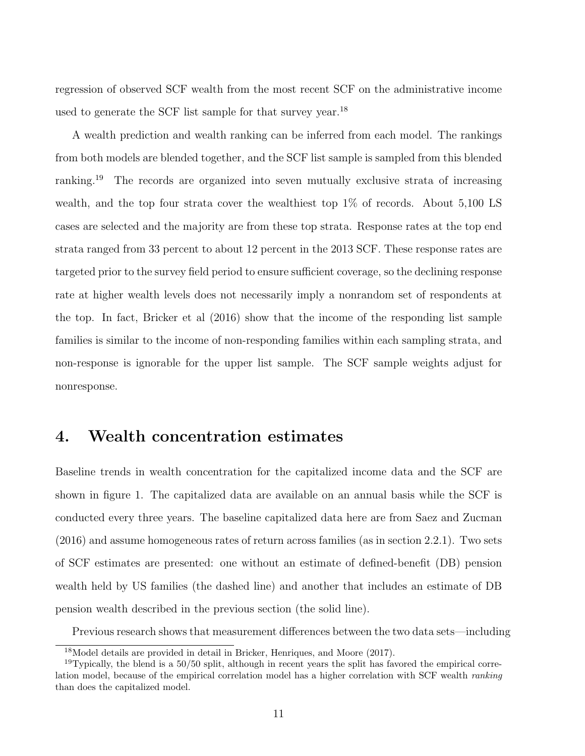regression of observed SCF wealth from the most recent SCF on the administrative income used to generate the SCF list sample for that survey year.<sup>18</sup>

A wealth prediction and wealth ranking can be inferred from each model. The rankings from both models are blended together, and the SCF list sample is sampled from this blended ranking.<sup>19</sup> The records are organized into seven mutually exclusive strata of increasing wealth, and the top four strata cover the wealthiest top 1% of records. About 5,100 LS cases are selected and the majority are from these top strata. Response rates at the top end strata ranged from 33 percent to about 12 percent in the 2013 SCF. These response rates are targeted prior to the survey field period to ensure sufficient coverage, so the declining response rate at higher wealth levels does not necessarily imply a nonrandom set of respondents at the top. In fact, Bricker et al (2016) show that the income of the responding list sample families is similar to the income of non-responding families within each sampling strata, and non-response is ignorable for the upper list sample. The SCF sample weights adjust for nonresponse.

### 4. Wealth concentration estimates

Baseline trends in wealth concentration for the capitalized income data and the SCF are shown in figure 1. The capitalized data are available on an annual basis while the SCF is conducted every three years. The baseline capitalized data here are from Saez and Zucman (2016) and assume homogeneous rates of return across families (as in section 2.2.1). Two sets of SCF estimates are presented: one without an estimate of defined-benefit (DB) pension wealth held by US families (the dashed line) and another that includes an estimate of DB pension wealth described in the previous section (the solid line).

Previous research shows that measurement differences between the two data sets—including

<sup>18</sup>Model details are provided in detail in Bricker, Henriques, and Moore (2017).

 $19$ Typically, the blend is a  $50/50$  split, although in recent years the split has favored the empirical correlation model, because of the empirical correlation model has a higher correlation with SCF wealth ranking than does the capitalized model.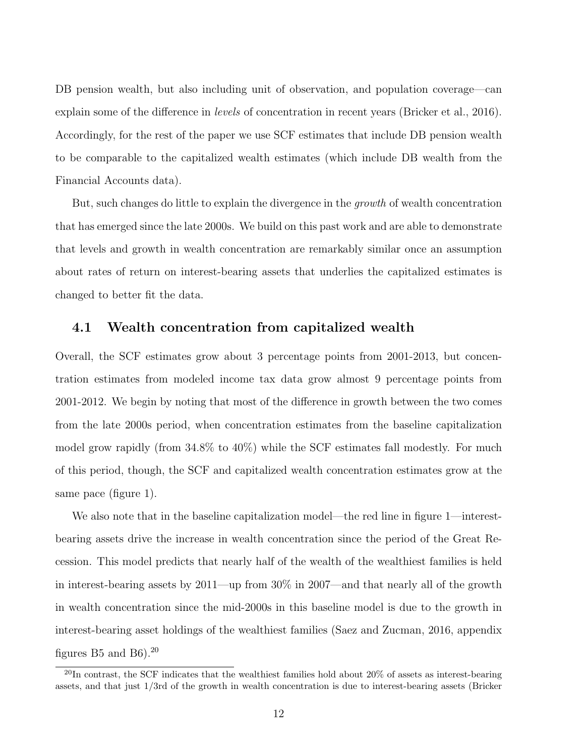DB pension wealth, but also including unit of observation, and population coverage—can explain some of the difference in *levels* of concentration in recent years (Bricker et al., 2016). Accordingly, for the rest of the paper we use SCF estimates that include DB pension wealth to be comparable to the capitalized wealth estimates (which include DB wealth from the Financial Accounts data).

But, such changes do little to explain the divergence in the growth of wealth concentration that has emerged since the late 2000s. We build on this past work and are able to demonstrate that levels and growth in wealth concentration are remarkably similar once an assumption about rates of return on interest-bearing assets that underlies the capitalized estimates is changed to better fit the data.

#### 4.1 Wealth concentration from capitalized wealth

Overall, the SCF estimates grow about 3 percentage points from 2001-2013, but concentration estimates from modeled income tax data grow almost 9 percentage points from 2001-2012. We begin by noting that most of the difference in growth between the two comes from the late 2000s period, when concentration estimates from the baseline capitalization model grow rapidly (from 34.8% to 40%) while the SCF estimates fall modestly. For much of this period, though, the SCF and capitalized wealth concentration estimates grow at the same pace (figure 1).

We also note that in the baseline capitalization model—the red line in figure 1—interestbearing assets drive the increase in wealth concentration since the period of the Great Recession. This model predicts that nearly half of the wealth of the wealthiest families is held in interest-bearing assets by 2011—up from 30% in 2007—and that nearly all of the growth in wealth concentration since the mid-2000s in this baseline model is due to the growth in interest-bearing asset holdings of the wealthiest families (Saez and Zucman, 2016, appendix figures B5 and B6).<sup>20</sup>

 $^{20}$ In contrast, the SCF indicates that the wealthiest families hold about 20% of assets as interest-bearing assets, and that just 1/3rd of the growth in wealth concentration is due to interest-bearing assets (Bricker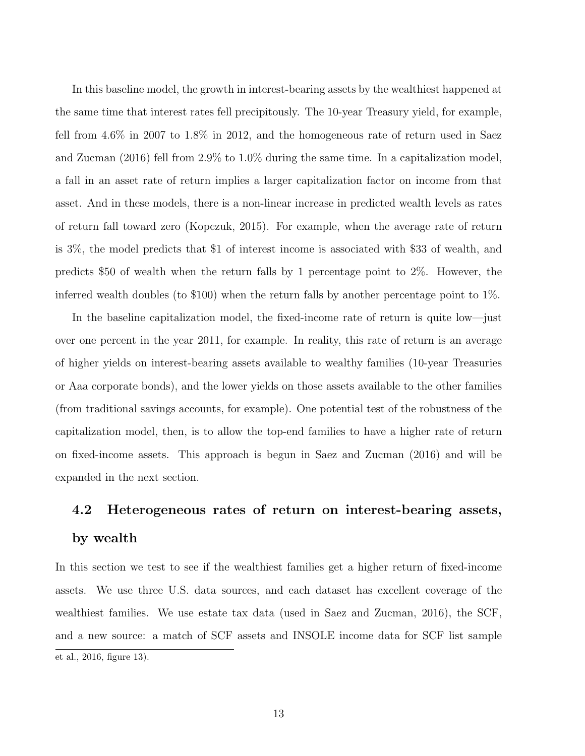In this baseline model, the growth in interest-bearing assets by the wealthiest happened at the same time that interest rates fell precipitously. The 10-year Treasury yield, for example, fell from 4.6% in 2007 to 1.8% in 2012, and the homogeneous rate of return used in Saez and Zucman (2016) fell from 2.9% to 1.0% during the same time. In a capitalization model, a fall in an asset rate of return implies a larger capitalization factor on income from that asset. And in these models, there is a non-linear increase in predicted wealth levels as rates of return fall toward zero (Kopczuk, 2015). For example, when the average rate of return is 3%, the model predicts that \$1 of interest income is associated with \$33 of wealth, and predicts \$50 of wealth when the return falls by 1 percentage point to 2%. However, the inferred wealth doubles (to \$100) when the return falls by another percentage point to 1%.

In the baseline capitalization model, the fixed-income rate of return is quite low—just over one percent in the year 2011, for example. In reality, this rate of return is an average of higher yields on interest-bearing assets available to wealthy families (10-year Treasuries or Aaa corporate bonds), and the lower yields on those assets available to the other families (from traditional savings accounts, for example). One potential test of the robustness of the capitalization model, then, is to allow the top-end families to have a higher rate of return on fixed-income assets. This approach is begun in Saez and Zucman (2016) and will be expanded in the next section.

# 4.2 Heterogeneous rates of return on interest-bearing assets, by wealth

In this section we test to see if the wealthiest families get a higher return of fixed-income assets. We use three U.S. data sources, and each dataset has excellent coverage of the wealthiest families. We use estate tax data (used in Saez and Zucman, 2016), the SCF, and a new source: a match of SCF assets and INSOLE income data for SCF list sample et al., 2016, figure 13).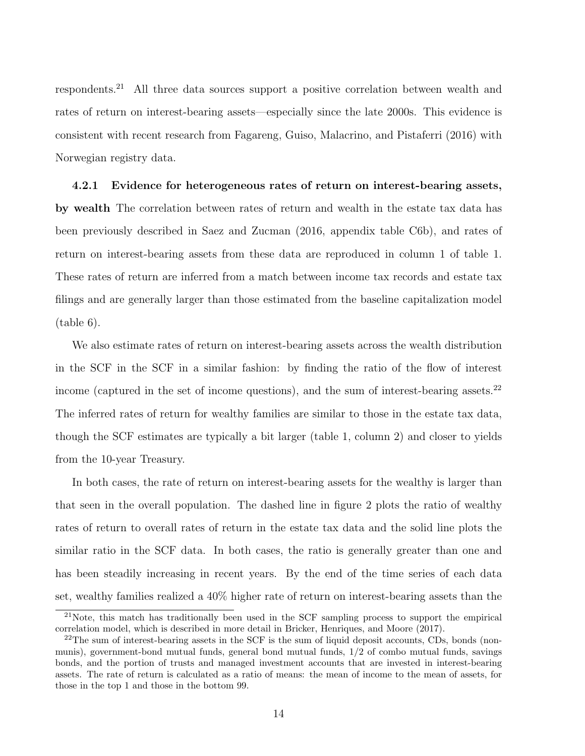respondents.<sup>21</sup> All three data sources support a positive correlation between wealth and rates of return on interest-bearing assets—especially since the late 2000s. This evidence is consistent with recent research from Fagareng, Guiso, Malacrino, and Pistaferri (2016) with Norwegian registry data.

4.2.1 Evidence for heterogeneous rates of return on interest-bearing assets, by wealth The correlation between rates of return and wealth in the estate tax data has been previously described in Saez and Zucman (2016, appendix table C6b), and rates of return on interest-bearing assets from these data are reproduced in column 1 of table 1. These rates of return are inferred from a match between income tax records and estate tax filings and are generally larger than those estimated from the baseline capitalization model (table 6).

We also estimate rates of return on interest-bearing assets across the wealth distribution in the SCF in the SCF in a similar fashion: by finding the ratio of the flow of interest income (captured in the set of income questions), and the sum of interest-bearing assets.<sup>22</sup> The inferred rates of return for wealthy families are similar to those in the estate tax data, though the SCF estimates are typically a bit larger (table 1, column 2) and closer to yields from the 10-year Treasury.

In both cases, the rate of return on interest-bearing assets for the wealthy is larger than that seen in the overall population. The dashed line in figure 2 plots the ratio of wealthy rates of return to overall rates of return in the estate tax data and the solid line plots the similar ratio in the SCF data. In both cases, the ratio is generally greater than one and has been steadily increasing in recent years. By the end of the time series of each data set, wealthy families realized a 40% higher rate of return on interest-bearing assets than the

<sup>21</sup>Note, this match has traditionally been used in the SCF sampling process to support the empirical correlation model, which is described in more detail in Bricker, Henriques, and Moore (2017).

 $^{22}$ The sum of interest-bearing assets in the SCF is the sum of liquid deposit accounts, CDs, bonds (nonmunis), government-bond mutual funds, general bond mutual funds, 1/2 of combo mutual funds, savings bonds, and the portion of trusts and managed investment accounts that are invested in interest-bearing assets. The rate of return is calculated as a ratio of means: the mean of income to the mean of assets, for those in the top 1 and those in the bottom 99.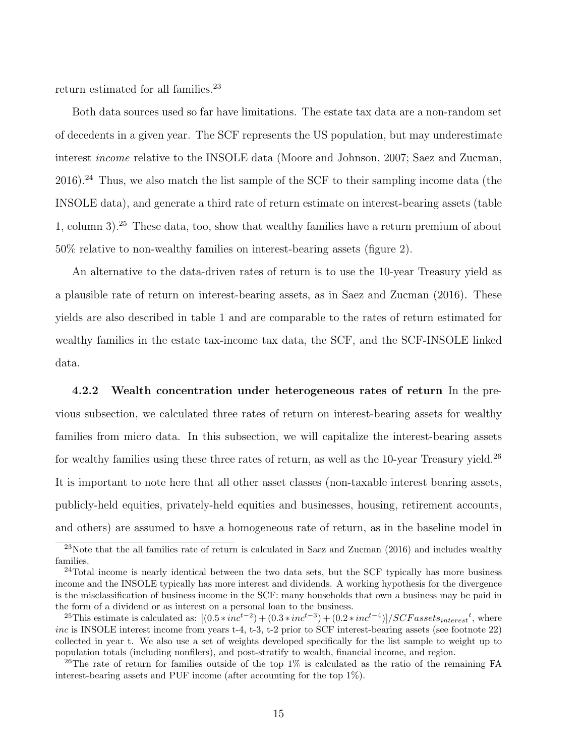return estimated for all families.<sup>23</sup>

Both data sources used so far have limitations. The estate tax data are a non-random set of decedents in a given year. The SCF represents the US population, but may underestimate interest income relative to the INSOLE data (Moore and Johnson, 2007; Saez and Zucman,  $2016$ ).<sup>24</sup> Thus, we also match the list sample of the SCF to their sampling income data (the INSOLE data), and generate a third rate of return estimate on interest-bearing assets (table 1, column 3).<sup>25</sup> These data, too, show that wealthy families have a return premium of about 50% relative to non-wealthy families on interest-bearing assets (figure 2).

An alternative to the data-driven rates of return is to use the 10-year Treasury yield as a plausible rate of return on interest-bearing assets, as in Saez and Zucman (2016). These yields are also described in table 1 and are comparable to the rates of return estimated for wealthy families in the estate tax-income tax data, the SCF, and the SCF-INSOLE linked data.

4.2.2 Wealth concentration under heterogeneous rates of return In the previous subsection, we calculated three rates of return on interest-bearing assets for wealthy families from micro data. In this subsection, we will capitalize the interest-bearing assets for wealthy families using these three rates of return, as well as the 10-year Treasury yield.<sup>26</sup> It is important to note here that all other asset classes (non-taxable interest bearing assets, publicly-held equities, privately-held equities and businesses, housing, retirement accounts, and others) are assumed to have a homogeneous rate of return, as in the baseline model in

 $23$ Note that the all families rate of return is calculated in Saez and Zucman (2016) and includes wealthy families.

<sup>&</sup>lt;sup>24</sup>Total income is nearly identical between the two data sets, but the SCF typically has more business income and the INSOLE typically has more interest and dividends. A working hypothesis for the divergence is the misclassification of business income in the SCF: many households that own a business may be paid in the form of a dividend or as interest on a personal loan to the business.

<sup>&</sup>lt;sup>25</sup>This estimate is calculated as:  $[(0.5*inc^{t-2}) + (0.3*inc^{t-3}) + (0.2*inc^{t-4})]/SCF as sets_{interest}^t$ , where inc is INSOLE interest income from years t-4, t-3, t-2 prior to SCF interest-bearing assets (see footnote 22) collected in year t. We also use a set of weights developed specifically for the list sample to weight up to population totals (including nonfilers), and post-stratify to wealth, financial income, and region.

 $^{26}$ The rate of return for families outside of the top 1% is calculated as the ratio of the remaining FA interest-bearing assets and PUF income (after accounting for the top 1%).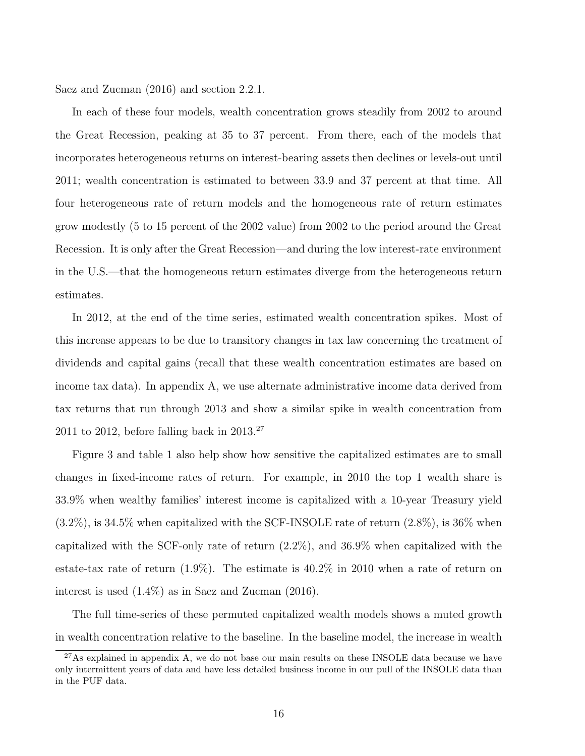Saez and Zucman (2016) and section 2.2.1.

In each of these four models, wealth concentration grows steadily from 2002 to around the Great Recession, peaking at 35 to 37 percent. From there, each of the models that incorporates heterogeneous returns on interest-bearing assets then declines or levels-out until 2011; wealth concentration is estimated to between 33.9 and 37 percent at that time. All four heterogeneous rate of return models and the homogeneous rate of return estimates grow modestly (5 to 15 percent of the 2002 value) from 2002 to the period around the Great Recession. It is only after the Great Recession—and during the low interest-rate environment in the U.S.—that the homogeneous return estimates diverge from the heterogeneous return estimates.

In 2012, at the end of the time series, estimated wealth concentration spikes. Most of this increase appears to be due to transitory changes in tax law concerning the treatment of dividends and capital gains (recall that these wealth concentration estimates are based on income tax data). In appendix A, we use alternate administrative income data derived from tax returns that run through 2013 and show a similar spike in wealth concentration from 2011 to 2012, before falling back in  $2013.^{27}$ 

Figure 3 and table 1 also help show how sensitive the capitalized estimates are to small changes in fixed-income rates of return. For example, in 2010 the top 1 wealth share is 33.9% when wealthy families' interest income is capitalized with a 10-year Treasury yield (3.2%), is 34.5% when capitalized with the SCF-INSOLE rate of return (2.8%), is 36% when capitalized with the SCF-only rate of return (2.2%), and 36.9% when capitalized with the estate-tax rate of return (1.9%). The estimate is 40.2% in 2010 when a rate of return on interest is used (1.4%) as in Saez and Zucman (2016).

The full time-series of these permuted capitalized wealth models shows a muted growth in wealth concentration relative to the baseline. In the baseline model, the increase in wealth

<sup>&</sup>lt;sup>27</sup>As explained in appendix A, we do not base our main results on these INSOLE data because we have only intermittent years of data and have less detailed business income in our pull of the INSOLE data than in the PUF data.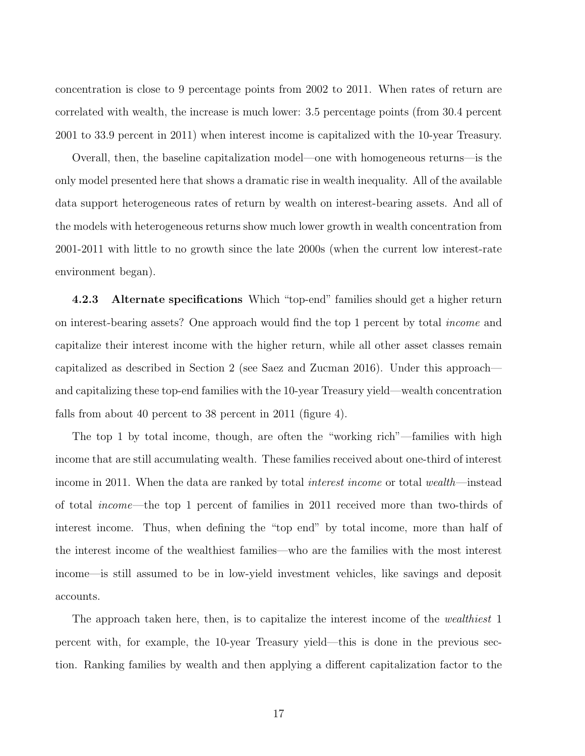concentration is close to 9 percentage points from 2002 to 2011. When rates of return are correlated with wealth, the increase is much lower: 3.5 percentage points (from 30.4 percent 2001 to 33.9 percent in 2011) when interest income is capitalized with the 10-year Treasury.

Overall, then, the baseline capitalization model—one with homogeneous returns—is the only model presented here that shows a dramatic rise in wealth inequality. All of the available data support heterogeneous rates of return by wealth on interest-bearing assets. And all of the models with heterogeneous returns show much lower growth in wealth concentration from 2001-2011 with little to no growth since the late 2000s (when the current low interest-rate environment began).

4.2.3 Alternate specifications Which "top-end" families should get a higher return on interest-bearing assets? One approach would find the top 1 percent by total income and capitalize their interest income with the higher return, while all other asset classes remain capitalized as described in Section 2 (see Saez and Zucman 2016). Under this approach and capitalizing these top-end families with the 10-year Treasury yield—wealth concentration falls from about 40 percent to 38 percent in 2011 (figure 4).

The top 1 by total income, though, are often the "working rich"—families with high income that are still accumulating wealth. These families received about one-third of interest income in 2011. When the data are ranked by total interest income or total wealth—instead of total income—the top 1 percent of families in 2011 received more than two-thirds of interest income. Thus, when defining the "top end" by total income, more than half of the interest income of the wealthiest families—who are the families with the most interest income—is still assumed to be in low-yield investment vehicles, like savings and deposit accounts.

The approach taken here, then, is to capitalize the interest income of the *wealthiest* 1 percent with, for example, the 10-year Treasury yield—this is done in the previous section. Ranking families by wealth and then applying a different capitalization factor to the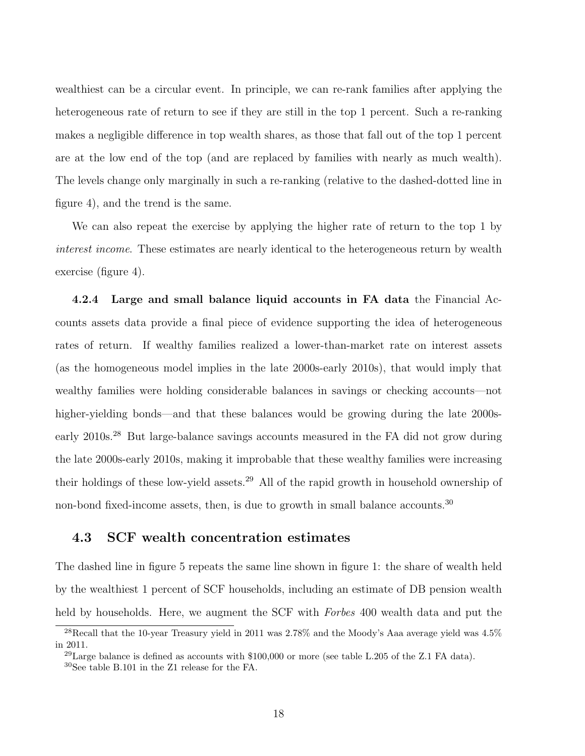wealthiest can be a circular event. In principle, we can re-rank families after applying the heterogeneous rate of return to see if they are still in the top 1 percent. Such a re-ranking makes a negligible difference in top wealth shares, as those that fall out of the top 1 percent are at the low end of the top (and are replaced by families with nearly as much wealth). The levels change only marginally in such a re-ranking (relative to the dashed-dotted line in figure 4), and the trend is the same.

We can also repeat the exercise by applying the higher rate of return to the top 1 by interest income. These estimates are nearly identical to the heterogeneous return by wealth exercise (figure 4).

4.2.4 Large and small balance liquid accounts in FA data the Financial Accounts assets data provide a final piece of evidence supporting the idea of heterogeneous rates of return. If wealthy families realized a lower-than-market rate on interest assets (as the homogeneous model implies in the late 2000s-early 2010s), that would imply that wealthy families were holding considerable balances in savings or checking accounts—not higher-yielding bonds—and that these balances would be growing during the late 2000searly 2010s.<sup>28</sup> But large-balance savings accounts measured in the FA did not grow during the late 2000s-early 2010s, making it improbable that these wealthy families were increasing their holdings of these low-yield assets.<sup>29</sup> All of the rapid growth in household ownership of non-bond fixed-income assets, then, is due to growth in small balance accounts.<sup>30</sup>

#### 4.3 SCF wealth concentration estimates

The dashed line in figure 5 repeats the same line shown in figure 1: the share of wealth held by the wealthiest 1 percent of SCF households, including an estimate of DB pension wealth held by households. Here, we augment the SCF with Forbes 400 wealth data and put the

 $^{28}$ Recall that the 10-year Treasury yield in 2011 was 2.78% and the Moody's Aaa average yield was 4.5% in 2011.

<sup>&</sup>lt;sup>29</sup>Large balance is defined as accounts with  $$100,000$  or more (see table L.205 of the Z.1 FA data).

<sup>30</sup>See table B.101 in the Z1 release for the FA.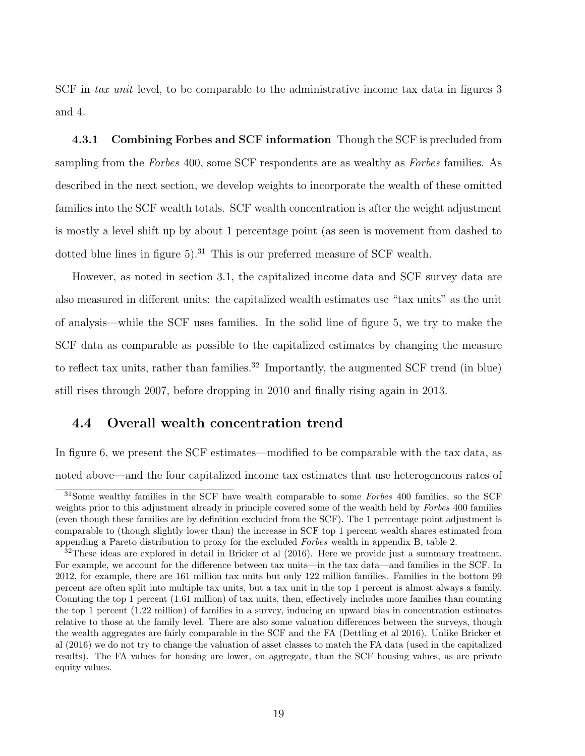SCF in tax unit level, to be comparable to the administrative income tax data in figures 3 and 4.

**4.3.1 Combining Forbes and SCF information** Though the SCF is precluded from sampling from the *Forbes* 400, some SCF respondents are as wealthy as *Forbes* families. As described in the next section, we develop weights to incorporate the wealth of these omitted families into the SCF wealth totals. SCF wealth concentration is after the weight adjustment is mostly a level shift up by about 1 percentage point (as seen is movement from dashed to dotted blue lines in figure  $5$ ).<sup>31</sup> This is our preferred measure of SCF wealth.

However, as noted in section 3.1, the capitalized income data and SCF survey data are also measured in different units: the capitalized wealth estimates use "tax units" as the unit of analysis—while the SCF uses families. In the solid line of figure 5, we try to make the SCF data as comparable as possible to the capitalized estimates by changing the measure to reflect tax units, rather than families.<sup>32</sup> Importantly, the augmented SCF trend (in blue) still rises through 2007, before dropping in 2010 and finally rising again in 2013.

### 4.4 Overall wealth concentration trend

In figure 6, we present the SCF estimates—modified to be comparable with the tax data, as noted above—and the four capitalized income tax estimates that use heterogeneous rates of

<sup>&</sup>lt;sup>31</sup>Some wealthy families in the SCF have wealth comparable to some Forbes 400 families, so the SCF weights prior to this adjustment already in principle covered some of the wealth held by Forbes 400 families (even though these families are by definition excluded from the SCF). The 1 percentage point adjustment is comparable to (though slightly lower than) the increase in SCF top 1 percent wealth shares estimated from appending a Pareto distribution to proxy for the excluded Forbes wealth in appendix B, table 2.

 $32$ These ideas are explored in detail in Bricker et al (2016). Here we provide just a summary treatment. For example, we account for the difference between tax units—in the tax data—and families in the SCF. In 2012, for example, there are 161 million tax units but only 122 million families. Families in the bottom 99 percent are often split into multiple tax units, but a tax unit in the top 1 percent is almost always a family. Counting the top 1 percent (1.61 million) of tax units, then, effectively includes more families than counting the top 1 percent (1.22 million) of families in a survey, inducing an upward bias in concentration estimates relative to those at the family level. There are also some valuation differences between the surveys, though the wealth aggregates are fairly comparable in the SCF and the FA (Dettling et al 2016). Unlike Bricker et al (2016) we do not try to change the valuation of asset classes to match the FA data (used in the capitalized results). The FA values for housing are lower, on aggregate, than the SCF housing values, as are private equity values.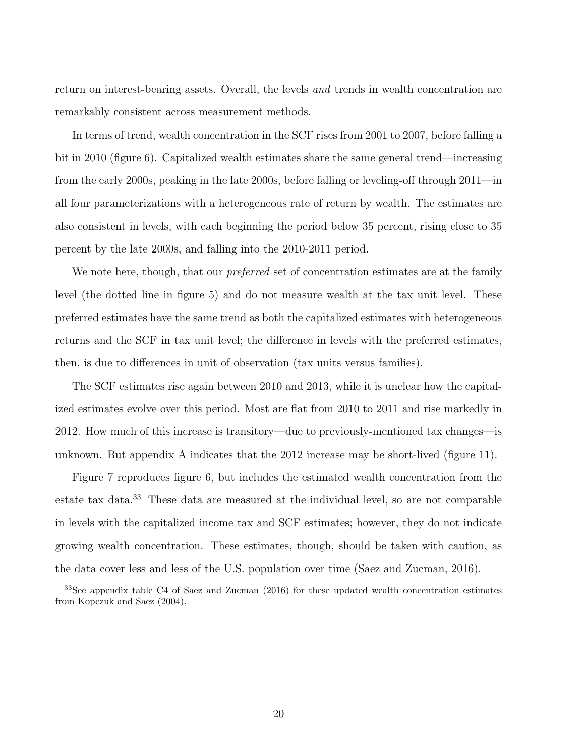return on interest-bearing assets. Overall, the levels and trends in wealth concentration are remarkably consistent across measurement methods.

In terms of trend, wealth concentration in the SCF rises from 2001 to 2007, before falling a bit in 2010 (figure 6). Capitalized wealth estimates share the same general trend—increasing from the early 2000s, peaking in the late 2000s, before falling or leveling-off through 2011—in all four parameterizations with a heterogeneous rate of return by wealth. The estimates are also consistent in levels, with each beginning the period below 35 percent, rising close to 35 percent by the late 2000s, and falling into the 2010-2011 period.

We note here, though, that our *preferred* set of concentration estimates are at the family level (the dotted line in figure 5) and do not measure wealth at the tax unit level. These preferred estimates have the same trend as both the capitalized estimates with heterogeneous returns and the SCF in tax unit level; the difference in levels with the preferred estimates, then, is due to differences in unit of observation (tax units versus families).

The SCF estimates rise again between 2010 and 2013, while it is unclear how the capitalized estimates evolve over this period. Most are flat from 2010 to 2011 and rise markedly in 2012. How much of this increase is transitory—due to previously-mentioned tax changes—is unknown. But appendix A indicates that the 2012 increase may be short-lived (figure 11).

Figure 7 reproduces figure 6, but includes the estimated wealth concentration from the estate tax data.<sup>33</sup> These data are measured at the individual level, so are not comparable in levels with the capitalized income tax and SCF estimates; however, they do not indicate growing wealth concentration. These estimates, though, should be taken with caution, as the data cover less and less of the U.S. population over time (Saez and Zucman, 2016).

 $33$ See appendix table C4 of Saez and Zucman (2016) for these updated wealth concentration estimates from Kopczuk and Saez (2004).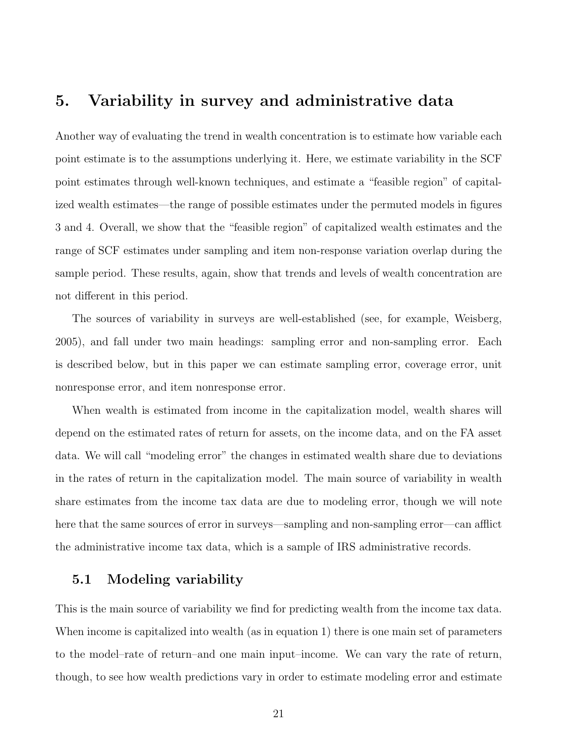# 5. Variability in survey and administrative data

Another way of evaluating the trend in wealth concentration is to estimate how variable each point estimate is to the assumptions underlying it. Here, we estimate variability in the SCF point estimates through well-known techniques, and estimate a "feasible region" of capitalized wealth estimates—the range of possible estimates under the permuted models in figures 3 and 4. Overall, we show that the "feasible region" of capitalized wealth estimates and the range of SCF estimates under sampling and item non-response variation overlap during the sample period. These results, again, show that trends and levels of wealth concentration are not different in this period.

The sources of variability in surveys are well-established (see, for example, Weisberg, 2005), and fall under two main headings: sampling error and non-sampling error. Each is described below, but in this paper we can estimate sampling error, coverage error, unit nonresponse error, and item nonresponse error.

When wealth is estimated from income in the capitalization model, wealth shares will depend on the estimated rates of return for assets, on the income data, and on the FA asset data. We will call "modeling error" the changes in estimated wealth share due to deviations in the rates of return in the capitalization model. The main source of variability in wealth share estimates from the income tax data are due to modeling error, though we will note here that the same sources of error in surveys—sampling and non-sampling error—can afflict the administrative income tax data, which is a sample of IRS administrative records.

### 5.1 Modeling variability

This is the main source of variability we find for predicting wealth from the income tax data. When income is capitalized into wealth (as in equation 1) there is one main set of parameters to the model–rate of return–and one main input–income. We can vary the rate of return, though, to see how wealth predictions vary in order to estimate modeling error and estimate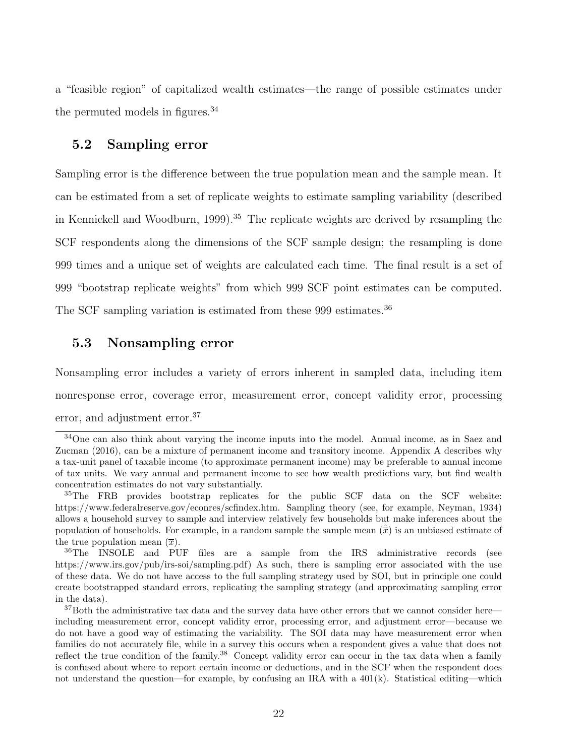a "feasible region" of capitalized wealth estimates—the range of possible estimates under the permuted models in figures.<sup>34</sup>

#### 5.2 Sampling error

Sampling error is the difference between the true population mean and the sample mean. It can be estimated from a set of replicate weights to estimate sampling variability (described in Kennickell and Woodburn, 1999).<sup>35</sup> The replicate weights are derived by resampling the SCF respondents along the dimensions of the SCF sample design; the resampling is done 999 times and a unique set of weights are calculated each time. The final result is a set of 999 "bootstrap replicate weights" from which 999 SCF point estimates can be computed. The SCF sampling variation is estimated from these 999 estimates.<sup>36</sup>

#### 5.3 Nonsampling error

Nonsampling error includes a variety of errors inherent in sampled data, including item nonresponse error, coverage error, measurement error, concept validity error, processing error, and adjustment error.<sup>37</sup>

<sup>34</sup>One can also think about varying the income inputs into the model. Annual income, as in Saez and Zucman (2016), can be a mixture of permanent income and transitory income. Appendix A describes why a tax-unit panel of taxable income (to approximate permanent income) may be preferable to annual income of tax units. We vary annual and permanent income to see how wealth predictions vary, but find wealth concentration estimates do not vary substantially.

<sup>&</sup>lt;sup>35</sup>The FRB provides bootstrap replicates for the public SCF data on the SCF website: https://www.federalreserve.gov/econres/scfindex.htm. Sampling theory (see, for example, Neyman, 1934) allows a household survey to sample and interview relatively few households but make inferences about the population of households. For example, in a random sample the sample mean  $(\hat{\overline{x}})$  is an unbiased estimate of the true population mean  $(\bar{x})$ .

<sup>36</sup>The INSOLE and PUF files are a sample from the IRS administrative records (see https://www.irs.gov/pub/irs-soi/sampling.pdf) As such, there is sampling error associated with the use of these data. We do not have access to the full sampling strategy used by SOI, but in principle one could create bootstrapped standard errors, replicating the sampling strategy (and approximating sampling error in the data).

 $37$ Both the administrative tax data and the survey data have other errors that we cannot consider here including measurement error, concept validity error, processing error, and adjustment error—because we do not have a good way of estimating the variability. The SOI data may have measurement error when families do not accurately file, while in a survey this occurs when a respondent gives a value that does not reflect the true condition of the family.<sup>38</sup> Concept validity error can occur in the tax data when a family is confused about where to report certain income or deductions, and in the SCF when the respondent does not understand the question—for example, by confusing an IRA with a  $401(k)$ . Statistical editing—which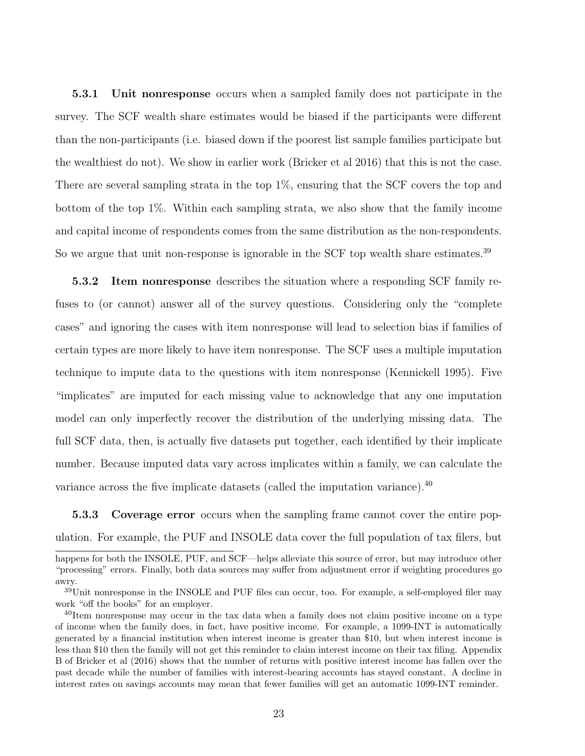5.3.1 Unit nonresponse occurs when a sampled family does not participate in the survey. The SCF wealth share estimates would be biased if the participants were different than the non-participants (i.e. biased down if the poorest list sample families participate but the wealthiest do not). We show in earlier work (Bricker et al 2016) that this is not the case. There are several sampling strata in the top 1%, ensuring that the SCF covers the top and bottom of the top 1%. Within each sampling strata, we also show that the family income and capital income of respondents comes from the same distribution as the non-respondents. So we argue that unit non-response is ignorable in the SCF top wealth share estimates.<sup>39</sup>

5.3.2 Item nonresponse describes the situation where a responding SCF family refuses to (or cannot) answer all of the survey questions. Considering only the "complete cases" and ignoring the cases with item nonresponse will lead to selection bias if families of certain types are more likely to have item nonresponse. The SCF uses a multiple imputation technique to impute data to the questions with item nonresponse (Kennickell 1995). Five "implicates" are imputed for each missing value to acknowledge that any one imputation model can only imperfectly recover the distribution of the underlying missing data. The full SCF data, then, is actually five datasets put together, each identified by their implicate number. Because imputed data vary across implicates within a family, we can calculate the variance across the five implicate datasets (called the imputation variance).<sup>40</sup>

5.3.3 Coverage error occurs when the sampling frame cannot cover the entire population. For example, the PUF and INSOLE data cover the full population of tax filers, but

happens for both the INSOLE, PUF, and SCF—helps alleviate this source of error, but may introduce other "processing" errors. Finally, both data sources may suffer from adjustment error if weighting procedures go awry.

<sup>&</sup>lt;sup>39</sup>Unit nonresponse in the INSOLE and PUF files can occur, too. For example, a self-employed filer may work "off the books" for an employer.

<sup>&</sup>lt;sup>40</sup>Item nonresponse may occur in the tax data when a family does not claim positive income on a type of income when the family does, in fact, have positive income. For example, a 1099-INT is automatically generated by a financial institution when interest income is greater than \$10, but when interest income is less than \$10 then the family will not get this reminder to claim interest income on their tax filing. Appendix B of Bricker et al (2016) shows that the number of returns with positive interest income has fallen over the past decade while the number of families with interest-bearing accounts has stayed constant. A decline in interest rates on savings accounts may mean that fewer families will get an automatic 1099-INT reminder.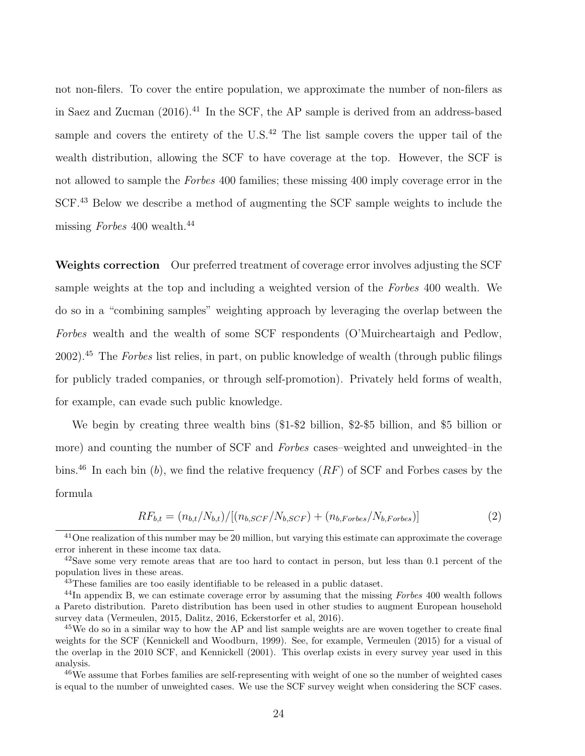not non-filers. To cover the entire population, we approximate the number of non-filers as in Saez and Zucman  $(2016)$ .<sup>41</sup> In the SCF, the AP sample is derived from an address-based sample and covers the entirety of the U.S.<sup>42</sup> The list sample covers the upper tail of the wealth distribution, allowing the SCF to have coverage at the top. However, the SCF is not allowed to sample the *Forbes* 400 families; these missing 400 imply coverage error in the SCF.<sup>43</sup> Below we describe a method of augmenting the SCF sample weights to include the missing Forbes 400 wealth.<sup>44</sup>

Weights correction Our preferred treatment of coverage error involves adjusting the SCF sample weights at the top and including a weighted version of the Forbes 400 wealth. We do so in a "combining samples" weighting approach by leveraging the overlap between the Forbes wealth and the wealth of some SCF respondents (O'Muircheartaigh and Pedlow, 2002).<sup>45</sup> The Forbes list relies, in part, on public knowledge of wealth (through public filings for publicly traded companies, or through self-promotion). Privately held forms of wealth, for example, can evade such public knowledge.

We begin by creating three wealth bins  $(\$1-\$2$  billion,  $\$2-\$5$  billion, and  $\$5$  billion or more) and counting the number of SCF and Forbes cases–weighted and unweighted–in the bins.<sup>46</sup> In each bin (b), we find the relative frequency  $(RF)$  of SCF and Forbes cases by the formula

$$
RF_{b,t} = (n_{b,t}/N_{b,t})/[(n_{b,SCF}/N_{b,SCF}) + (n_{b,Forbes}/N_{b,Forbes})]
$$
\n(2)

 $41$ One realization of this number may be 20 million, but varying this estimate can approximate the coverage error inherent in these income tax data.

 $^{42}$ Save some very remote areas that are too hard to contact in person, but less than 0.1 percent of the population lives in these areas.

 $43$ These families are too easily identifiable to be released in a public dataset.

 $^{44}$ In appendix B, we can estimate coverage error by assuming that the missing Forbes 400 wealth follows a Pareto distribution. Pareto distribution has been used in other studies to augment European household survey data (Vermeulen, 2015, Dalitz, 2016, Eckerstorfer et al, 2016).

<sup>&</sup>lt;sup>45</sup>We do so in a similar way to how the AP and list sample weights are are woven together to create final weights for the SCF (Kennickell and Woodburn, 1999). See, for example, Vermeulen (2015) for a visual of the overlap in the 2010 SCF, and Kennickell (2001). This overlap exists in every survey year used in this analysis.

<sup>&</sup>lt;sup>46</sup>We assume that Forbes families are self-representing with weight of one so the number of weighted cases is equal to the number of unweighted cases. We use the SCF survey weight when considering the SCF cases.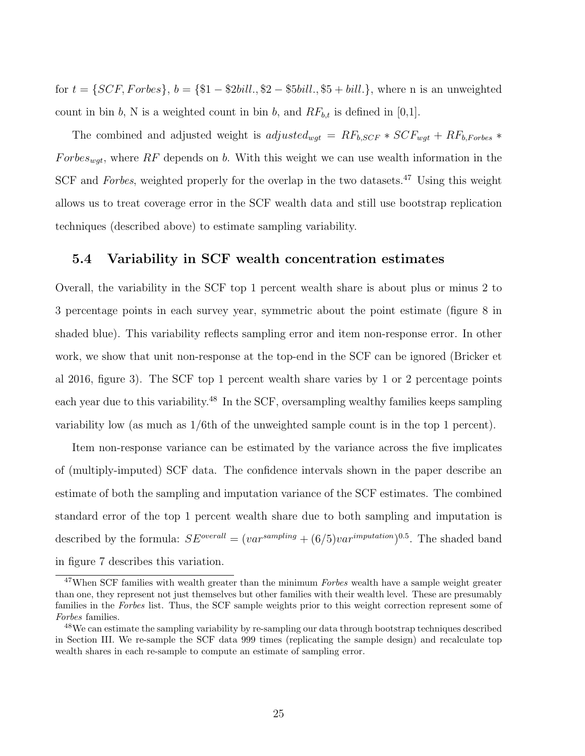for  $t = \{SCF, Forbes\}, b = \{\$1 - \$2bill., \$2 - \$5bill., \$5 + bill.\},$  where n is an unweighted count in bin b, N is a weighted count in bin b, and  $RF_{b,t}$  is defined in [0,1].

The combined and adjusted weight is *adjusted<sub>wgt</sub>* =  $RF_{b,SCF} * SCF_{wgt} + RF_{b,Forbes} *$ Forbes<sub>wat</sub>, where RF depends on b. With this weight we can use wealth information in the SCF and Forbes, weighted properly for the overlap in the two datasets.<sup>47</sup> Using this weight allows us to treat coverage error in the SCF wealth data and still use bootstrap replication techniques (described above) to estimate sampling variability.

#### 5.4 Variability in SCF wealth concentration estimates

Overall, the variability in the SCF top 1 percent wealth share is about plus or minus 2 to 3 percentage points in each survey year, symmetric about the point estimate (figure 8 in shaded blue). This variability reflects sampling error and item non-response error. In other work, we show that unit non-response at the top-end in the SCF can be ignored (Bricker et al 2016, figure 3). The SCF top 1 percent wealth share varies by 1 or 2 percentage points each year due to this variability.<sup>48</sup> In the SCF, oversampling wealthy families keeps sampling variability low (as much as 1/6th of the unweighted sample count is in the top 1 percent).

Item non-response variance can be estimated by the variance across the five implicates of (multiply-imputed) SCF data. The confidence intervals shown in the paper describe an estimate of both the sampling and imputation variance of the SCF estimates. The combined standard error of the top 1 percent wealth share due to both sampling and imputation is described by the formula:  $SE^{overall} = (var^{sampling} + (6/5)var^{imputation})^{0.5}$ . The shaded band in figure 7 describes this variation.

<sup>&</sup>lt;sup>47</sup>When SCF families with wealth greater than the minimum Forbes wealth have a sample weight greater than one, they represent not just themselves but other families with their wealth level. These are presumably families in the Forbes list. Thus, the SCF sample weights prior to this weight correction represent some of Forbes families.

<sup>&</sup>lt;sup>48</sup>We can estimate the sampling variability by re-sampling our data through bootstrap techniques described in Section III. We re-sample the SCF data 999 times (replicating the sample design) and recalculate top wealth shares in each re-sample to compute an estimate of sampling error.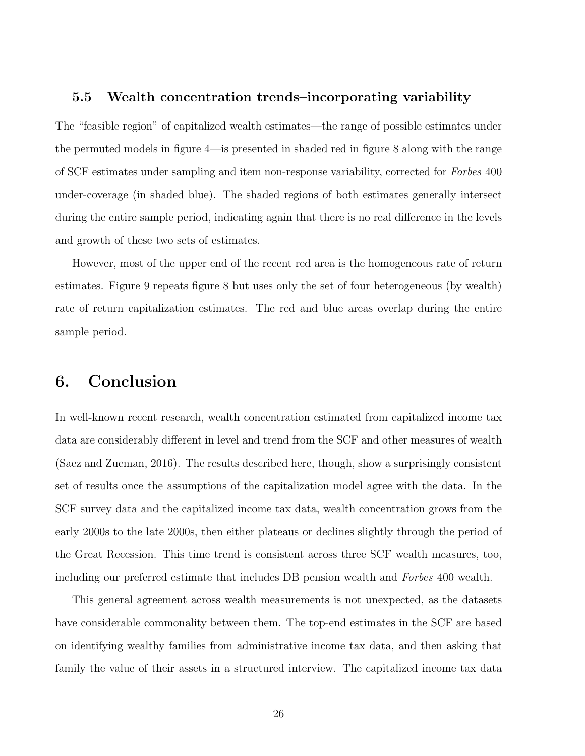#### 5.5 Wealth concentration trends–incorporating variability

The "feasible region" of capitalized wealth estimates—the range of possible estimates under the permuted models in figure 4—is presented in shaded red in figure 8 along with the range of SCF estimates under sampling and item non-response variability, corrected for Forbes 400 under-coverage (in shaded blue). The shaded regions of both estimates generally intersect during the entire sample period, indicating again that there is no real difference in the levels and growth of these two sets of estimates.

However, most of the upper end of the recent red area is the homogeneous rate of return estimates. Figure 9 repeats figure 8 but uses only the set of four heterogeneous (by wealth) rate of return capitalization estimates. The red and blue areas overlap during the entire sample period.

# 6. Conclusion

In well-known recent research, wealth concentration estimated from capitalized income tax data are considerably different in level and trend from the SCF and other measures of wealth (Saez and Zucman, 2016). The results described here, though, show a surprisingly consistent set of results once the assumptions of the capitalization model agree with the data. In the SCF survey data and the capitalized income tax data, wealth concentration grows from the early 2000s to the late 2000s, then either plateaus or declines slightly through the period of the Great Recession. This time trend is consistent across three SCF wealth measures, too, including our preferred estimate that includes DB pension wealth and Forbes 400 wealth.

This general agreement across wealth measurements is not unexpected, as the datasets have considerable commonality between them. The top-end estimates in the SCF are based on identifying wealthy families from administrative income tax data, and then asking that family the value of their assets in a structured interview. The capitalized income tax data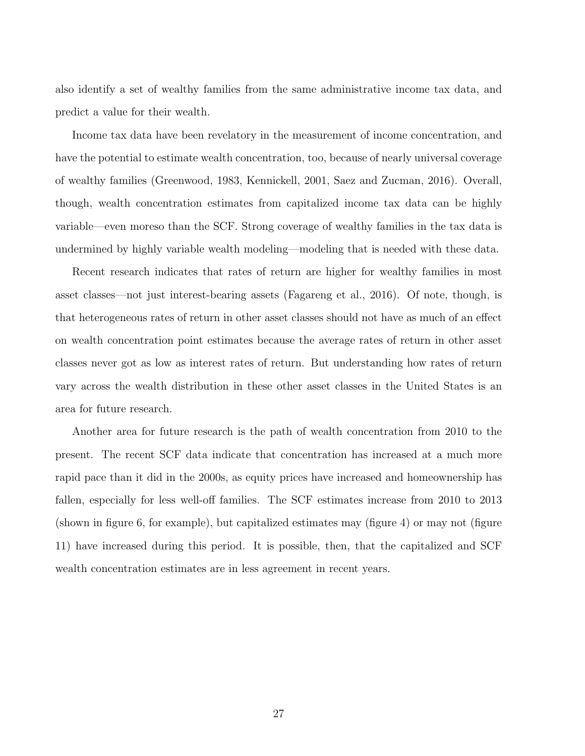also identify a set of wealthy families from the same administrative income tax data, and predict a value for their wealth.

Income tax data have been revelatory in the measurement of income concentration, and have the potential to estimate wealth concentration, too, because of nearly universal coverage of wealthy families (Greenwood, 1983, Kennickell, 2001, Saez and Zucman, 2016). Overall, though, wealth concentration estimates from capitalized income tax data can be highly variable—even moreso than the SCF. Strong coverage of wealthy families in the tax data is undermined by highly variable wealth modeling—modeling that is needed with these data.

Recent research indicates that rates of return are higher for wealthy families in most asset classes—not just interest-bearing assets (Fagareng et al., 2016). Of note, though, is that heterogeneous rates of return in other asset classes should not have as much of an effect on wealth concentration point estimates because the average rates of return in other asset classes never got as low as interest rates of return. But understanding how rates of return vary across the wealth distribution in these other asset classes in the United States is an area for future research.

Another area for future research is the path of wealth concentration from 2010 to the present. The recent SCF data indicate that concentration has increased at a much more rapid pace than it did in the 2000s, as equity prices have increased and homeownership has fallen, especially for less well-off families. The SCF estimates increase from 2010 to 2013 (shown in figure 6, for example), but capitalized estimates may (figure 4) or may not (figure 11) have increased during this period. It is possible, then, that the capitalized and SCF wealth concentration estimates are in less agreement in recent years.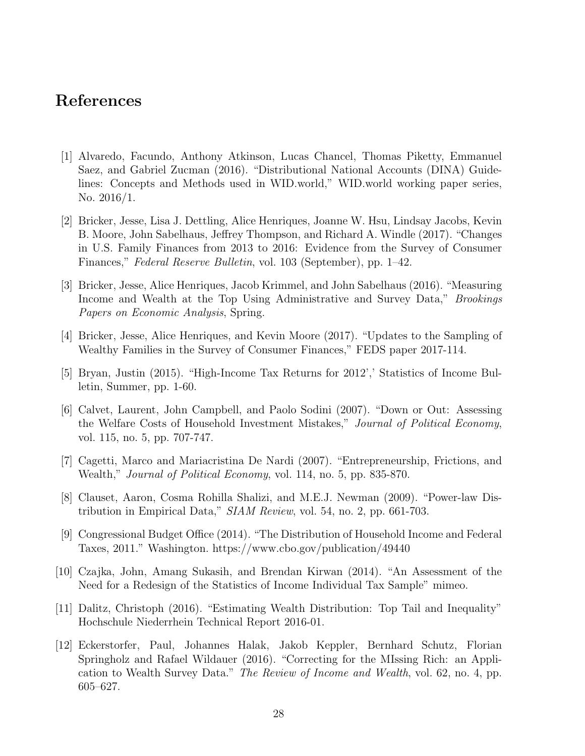# References

- [1] Alvaredo, Facundo, Anthony Atkinson, Lucas Chancel, Thomas Piketty, Emmanuel Saez, and Gabriel Zucman (2016). "Distributional National Accounts (DINA) Guidelines: Concepts and Methods used in WID.world," WID.world working paper series, No. 2016/1.
- [2] Bricker, Jesse, Lisa J. Dettling, Alice Henriques, Joanne W. Hsu, Lindsay Jacobs, Kevin B. Moore, John Sabelhaus, Jeffrey Thompson, and Richard A. Windle (2017). "Changes in U.S. Family Finances from 2013 to 2016: Evidence from the Survey of Consumer Finances," Federal Reserve Bulletin, vol. 103 (September), pp. 1–42.
- [3] Bricker, Jesse, Alice Henriques, Jacob Krimmel, and John Sabelhaus (2016). "Measuring Income and Wealth at the Top Using Administrative and Survey Data," *Brookings* Papers on Economic Analysis, Spring.
- [4] Bricker, Jesse, Alice Henriques, and Kevin Moore (2017). "Updates to the Sampling of Wealthy Families in the Survey of Consumer Finances," FEDS paper 2017-114.
- [5] Bryan, Justin (2015). "High-Income Tax Returns for 2012',' Statistics of Income Bulletin, Summer, pp. 1-60.
- [6] Calvet, Laurent, John Campbell, and Paolo Sodini (2007). "Down or Out: Assessing the Welfare Costs of Household Investment Mistakes," Journal of Political Economy, vol. 115, no. 5, pp. 707-747.
- [7] Cagetti, Marco and Mariacristina De Nardi (2007). "Entrepreneurship, Frictions, and Wealth," Journal of Political Economy, vol. 114, no. 5, pp. 835-870.
- [8] Clauset, Aaron, Cosma Rohilla Shalizi, and M.E.J. Newman (2009). "Power-law Distribution in Empirical Data," SIAM Review, vol. 54, no. 2, pp. 661-703.
- [9] Congressional Budget Office (2014). "The Distribution of Household Income and Federal Taxes, 2011." Washington. https://www.cbo.gov/publication/49440
- [10] Czajka, John, Amang Sukasih, and Brendan Kirwan (2014). "An Assessment of the Need for a Redesign of the Statistics of Income Individual Tax Sample" mimeo.
- [11] Dalitz, Christoph (2016). "Estimating Wealth Distribution: Top Tail and Inequality" Hochschule Niederrhein Technical Report 2016-01.
- [12] Eckerstorfer, Paul, Johannes Halak, Jakob Keppler, Bernhard Schutz, Florian Springholz and Rafael Wildauer (2016). "Correcting for the MIssing Rich: an Application to Wealth Survey Data." The Review of Income and Wealth, vol. 62, no. 4, pp. 605–627.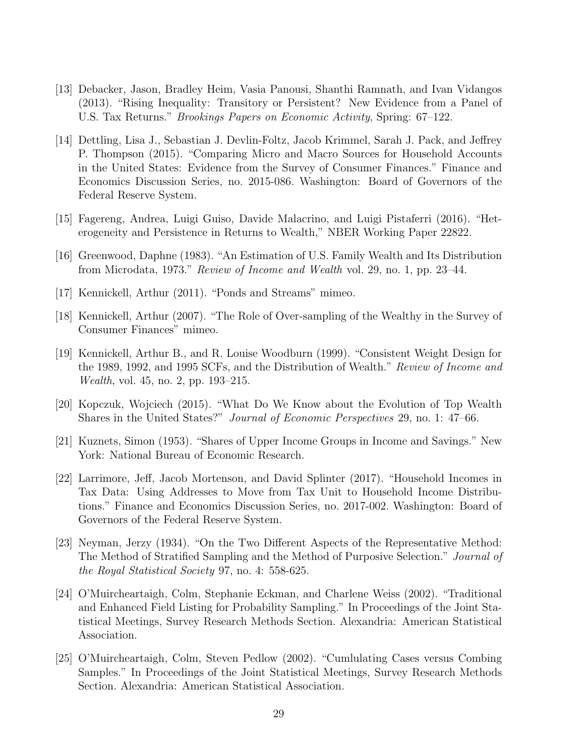- [13] Debacker, Jason, Bradley Heim, Vasia Panousi, Shanthi Ramnath, and Ivan Vidangos (2013). "Rising Inequality: Transitory or Persistent? New Evidence from a Panel of U.S. Tax Returns." Brookings Papers on Economic Activity, Spring: 67–122.
- [14] Dettling, Lisa J., Sebastian J. Devlin-Foltz, Jacob Krimmel, Sarah J. Pack, and Jeffrey P. Thompson (2015). "Comparing Micro and Macro Sources for Household Accounts in the United States: Evidence from the Survey of Consumer Finances." Finance and Economics Discussion Series, no. 2015-086. Washington: Board of Governors of the Federal Reserve System.
- [15] Fagereng, Andrea, Luigi Guiso, Davide Malacrino, and Luigi Pistaferri (2016). "Heterogeneity and Persistence in Returns to Wealth," NBER Working Paper 22822.
- [16] Greenwood, Daphne (1983). "An Estimation of U.S. Family Wealth and Its Distribution from Microdata, 1973." Review of Income and Wealth vol. 29, no. 1, pp. 23–44.
- [17] Kennickell, Arthur (2011). "Ponds and Streams" mimeo.
- [18] Kennickell, Arthur (2007). "The Role of Over-sampling of the Wealthy in the Survey of Consumer Finances" mimeo.
- [19] Kennickell, Arthur B., and R. Louise Woodburn (1999). "Consistent Weight Design for the 1989, 1992, and 1995 SCFs, and the Distribution of Wealth." Review of Income and Wealth, vol. 45, no. 2, pp. 193–215.
- [20] Kopczuk, Wojciech (2015). "What Do We Know about the Evolution of Top Wealth Shares in the United States?" Journal of Economic Perspectives 29, no. 1: 47–66.
- [21] Kuznets, Simon (1953). "Shares of Upper Income Groups in Income and Savings." New York: National Bureau of Economic Research.
- [22] Larrimore, Jeff, Jacob Mortenson, and David Splinter (2017). "Household Incomes in Tax Data: Using Addresses to Move from Tax Unit to Household Income Distributions." Finance and Economics Discussion Series, no. 2017-002. Washington: Board of Governors of the Federal Reserve System.
- [23] Neyman, Jerzy (1934). "On the Two Different Aspects of the Representative Method: The Method of Stratified Sampling and the Method of Purposive Selection." Journal of the Royal Statistical Society 97, no. 4: 558-625.
- [24] O'Muircheartaigh, Colm, Stephanie Eckman, and Charlene Weiss (2002). "Traditional and Enhanced Field Listing for Probability Sampling." In Proceedings of the Joint Statistical Meetings, Survey Research Methods Section. Alexandria: American Statistical Association.
- [25] O'Muircheartaigh, Colm, Steven Pedlow (2002). "Cumlulating Cases versus Combing Samples." In Proceedings of the Joint Statistical Meetings, Survey Research Methods Section. Alexandria: American Statistical Association.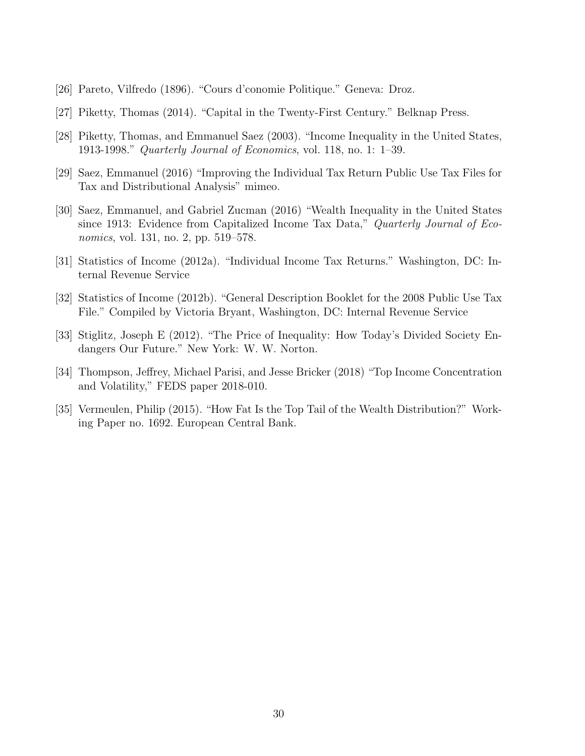- [26] Pareto, Vilfredo (1896). "Cours d'conomie Politique." Geneva: Droz.
- [27] Piketty, Thomas (2014). "Capital in the Twenty-First Century." Belknap Press.
- [28] Piketty, Thomas, and Emmanuel Saez (2003). "Income Inequality in the United States, 1913-1998." Quarterly Journal of Economics, vol. 118, no. 1: 1–39.
- [29] Saez, Emmanuel (2016) "Improving the Individual Tax Return Public Use Tax Files for Tax and Distributional Analysis" mimeo.
- [30] Saez, Emmanuel, and Gabriel Zucman (2016) "Wealth Inequality in the United States since 1913: Evidence from Capitalized Income Tax Data," Quarterly Journal of Economics, vol. 131, no. 2, pp. 519–578.
- [31] Statistics of Income (2012a). "Individual Income Tax Returns." Washington, DC: Internal Revenue Service
- [32] Statistics of Income (2012b). "General Description Booklet for the 2008 Public Use Tax File." Compiled by Victoria Bryant, Washington, DC: Internal Revenue Service
- [33] Stiglitz, Joseph E (2012). "The Price of Inequality: How Today's Divided Society Endangers Our Future." New York: W. W. Norton.
- [34] Thompson, Jeffrey, Michael Parisi, and Jesse Bricker (2018) "Top Income Concentration and Volatility," FEDS paper 2018-010.
- [35] Vermeulen, Philip (2015). "How Fat Is the Top Tail of the Wealth Distribution?" Working Paper no. 1692. European Central Bank.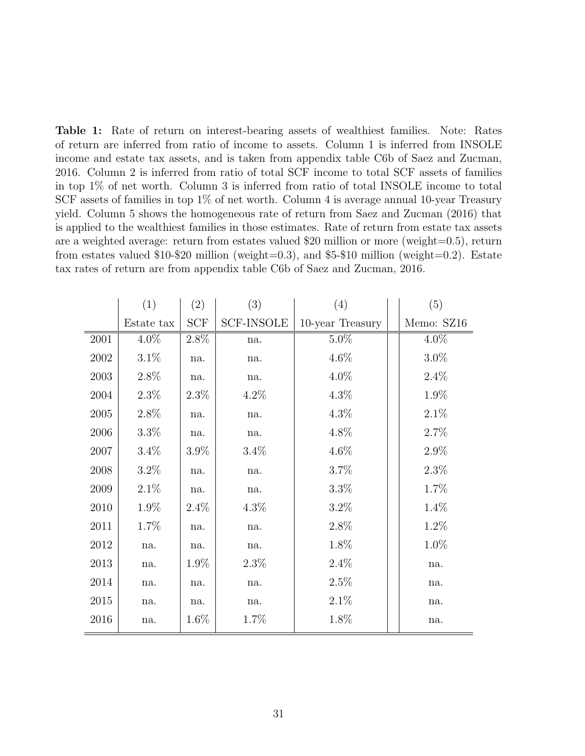Table 1: Rate of return on interest-bearing assets of wealthiest families. Note: Rates of return are inferred from ratio of income to assets. Column 1 is inferred from INSOLE income and estate tax assets, and is taken from appendix table C6b of Saez and Zucman, 2016. Column 2 is inferred from ratio of total SCF income to total SCF assets of families in top 1% of net worth. Column 3 is inferred from ratio of total INSOLE income to total SCF assets of families in top 1% of net worth. Column 4 is average annual 10-year Treasury yield. Column 5 shows the homogeneous rate of return from Saez and Zucman (2016) that is applied to the wealthiest families in those estimates. Rate of return from estate tax assets are a weighted average: return from estates valued \$20 million or more (weight=0.5), return from estates valued \$10-\$20 million (weight=0.3), and \$5-\$10 million (weight=0.2). Estate tax rates of return are from appendix table C6b of Saez and Zucman, 2016.

|          | (1)        | (2)     | (3)               | (4)              | (5)        |
|----------|------------|---------|-------------------|------------------|------------|
|          | Estate tax | SCF     | <b>SCF-INSOLE</b> | 10-year Treasury | Memo: SZ16 |
| $2001\,$ | 4.0%       | $2.8\%$ | na.               | $5.0\%$          | $4.0\%$    |
| 2002     | $3.1\%$    | na.     | na.               | $4.6\%$          | $3.0\%$    |
| 2003     | 2.8%       | na.     | na.               | 4.0%             | 2.4%       |
| 2004     | $2.3\%$    | $2.3\%$ | $4.2\%$           | 4.3%             | 1.9%       |
| 2005     | 2.8%       | na.     | na.               | 4.3%             | $2.1\%$    |
| 2006     | $3.3\%$    | na.     | na.               | 4.8%             | 2.7%       |
| 2007     | $3.4\%$    | 3.9%    | 3.4%              | 4.6%             | 2.9%       |
| 2008     | $3.2\%$    | na.     | na.               | 3.7%             | $2.3\%$    |
| 2009     | 2.1%       | na.     | na.               | $3.3\%$          | 1.7%       |
| 2010     | 1.9%       | 2.4%    | $4.3\%$           | $3.2\%$          | 1.4%       |
| 2011     | 1.7%       | na.     | na.               | 2.8%             | 1.2%       |
| 2012     | na.        | na.     | na.               | 1.8%             | 1.0%       |
| 2013     | na.        | $1.9\%$ | $2.3\%$           | $2.4\%$          | na.        |
| 2014     | na.        | na.     | na.               | 2.5%             | na.        |
| 2015     | na.        | na.     | na.               | 2.1%             | na.        |
| 2016     | na.        | $1.6\%$ | 1.7%              | 1.8%             | na.        |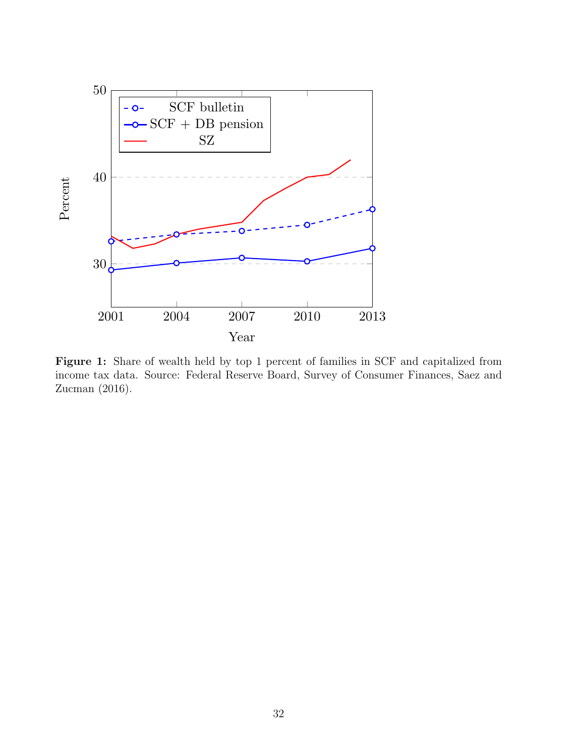

Figure 1: Share of wealth held by top 1 percent of families in SCF and capitalized from income tax data. Source: Federal Reserve Board, Survey of Consumer Finances, Saez and Zucman (2016).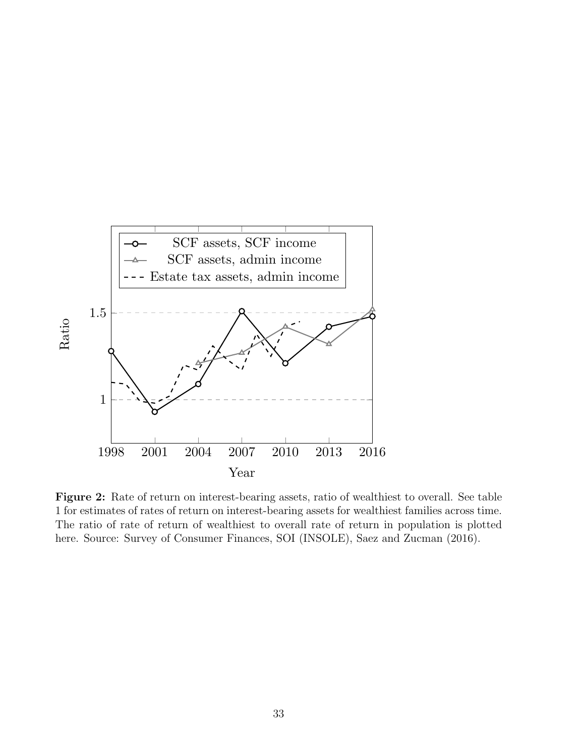

Figure 2: Rate of return on interest-bearing assets, ratio of wealthiest to overall. See table 1 for estimates of rates of return on interest-bearing assets for wealthiest families across time. The ratio of rate of return of wealthiest to overall rate of return in population is plotted here. Source: Survey of Consumer Finances, SOI (INSOLE), Saez and Zucman (2016).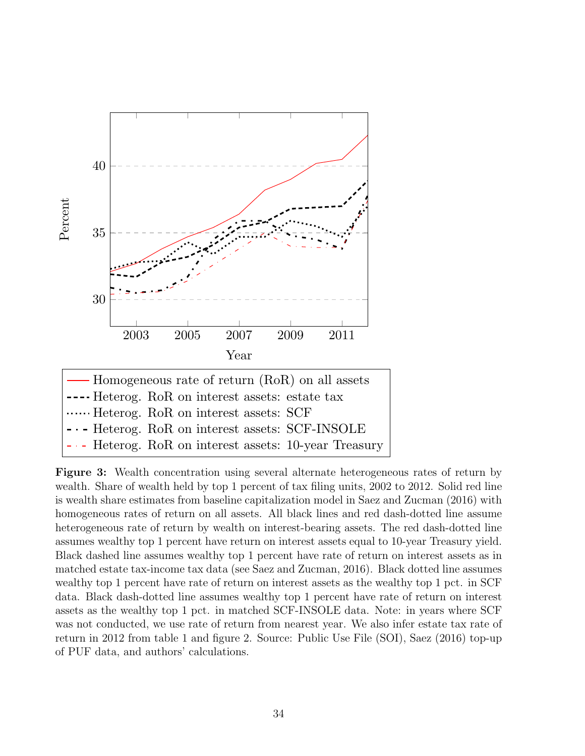

Figure 3: Wealth concentration using several alternate heterogeneous rates of return by wealth. Share of wealth held by top 1 percent of tax filing units, 2002 to 2012. Solid red line is wealth share estimates from baseline capitalization model in Saez and Zucman (2016) with homogeneous rates of return on all assets. All black lines and red dash-dotted line assume heterogeneous rate of return by wealth on interest-bearing assets. The red dash-dotted line assumes wealthy top 1 percent have return on interest assets equal to 10-year Treasury yield. Black dashed line assumes wealthy top 1 percent have rate of return on interest assets as in matched estate tax-income tax data (see Saez and Zucman, 2016). Black dotted line assumes wealthy top 1 percent have rate of return on interest assets as the wealthy top 1 pct. in SCF data. Black dash-dotted line assumes wealthy top 1 percent have rate of return on interest assets as the wealthy top 1 pct. in matched SCF-INSOLE data. Note: in years where SCF was not conducted, we use rate of return from nearest year. We also infer estate tax rate of return in 2012 from table 1 and figure 2. Source: Public Use File (SOI), Saez (2016) top-up of PUF data, and authors' calculations.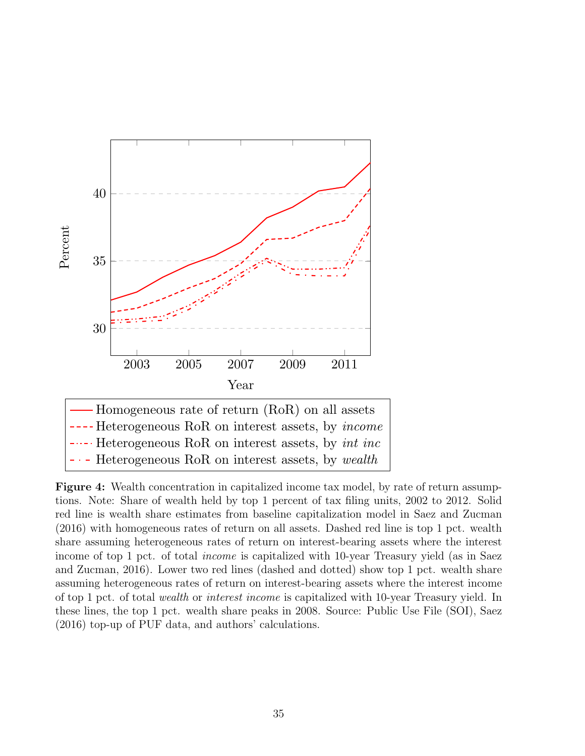

Figure 4: Wealth concentration in capitalized income tax model, by rate of return assumptions. Note: Share of wealth held by top 1 percent of tax filing units, 2002 to 2012. Solid red line is wealth share estimates from baseline capitalization model in Saez and Zucman (2016) with homogeneous rates of return on all assets. Dashed red line is top 1 pct. wealth share assuming heterogeneous rates of return on interest-bearing assets where the interest income of top 1 pct. of total *income* is capitalized with 10-year Treasury yield (as in Saez and Zucman, 2016). Lower two red lines (dashed and dotted) show top 1 pct. wealth share assuming heterogeneous rates of return on interest-bearing assets where the interest income of top 1 pct. of total wealth or interest income is capitalized with 10-year Treasury yield. In these lines, the top 1 pct. wealth share peaks in 2008. Source: Public Use File (SOI), Saez (2016) top-up of PUF data, and authors' calculations.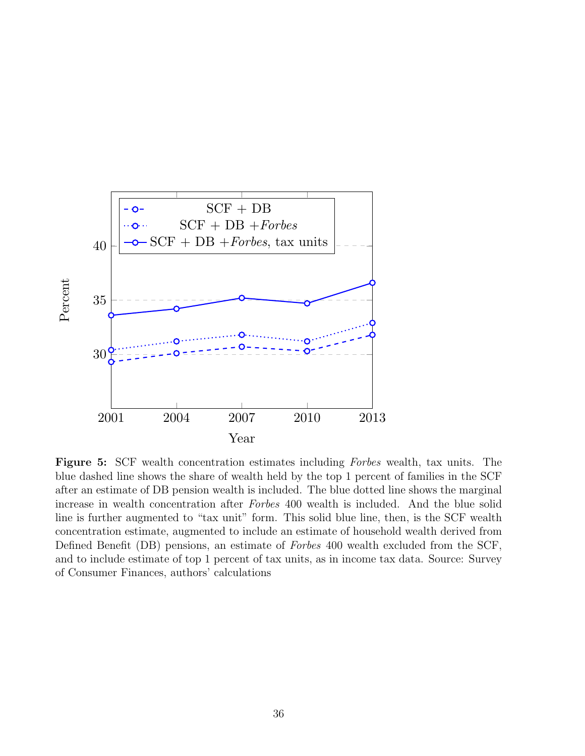

Figure 5: SCF wealth concentration estimates including Forbes wealth, tax units. The blue dashed line shows the share of wealth held by the top 1 percent of families in the SCF after an estimate of DB pension wealth is included. The blue dotted line shows the marginal increase in wealth concentration after Forbes 400 wealth is included. And the blue solid line is further augmented to "tax unit" form. This solid blue line, then, is the SCF wealth concentration estimate, augmented to include an estimate of household wealth derived from Defined Benefit (DB) pensions, an estimate of Forbes 400 wealth excluded from the SCF, and to include estimate of top 1 percent of tax units, as in income tax data. Source: Survey of Consumer Finances, authors' calculations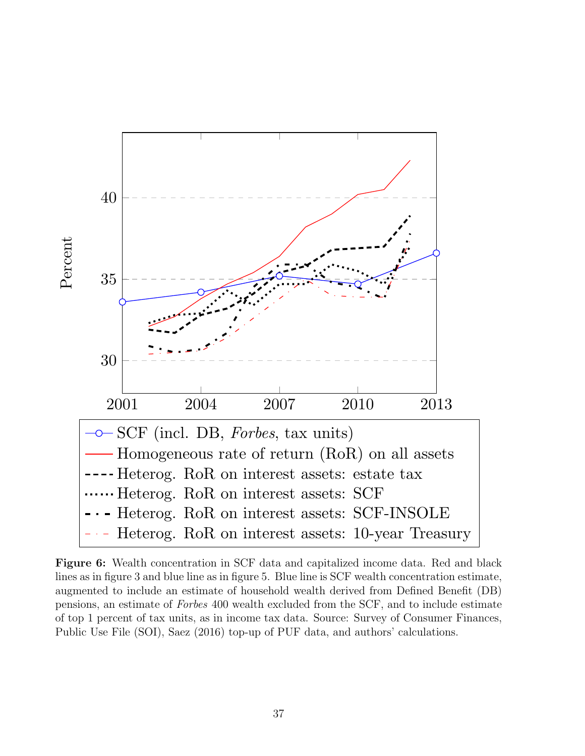

Figure 6: Wealth concentration in SCF data and capitalized income data. Red and black lines as in figure 3 and blue line as in figure 5. Blue line is SCF wealth concentration estimate, augmented to include an estimate of household wealth derived from Defined Benefit (DB) pensions, an estimate of Forbes 400 wealth excluded from the SCF, and to include estimate of top 1 percent of tax units, as in income tax data. Source: Survey of Consumer Finances, Public Use File (SOI), Saez (2016) top-up of PUF data, and authors' calculations.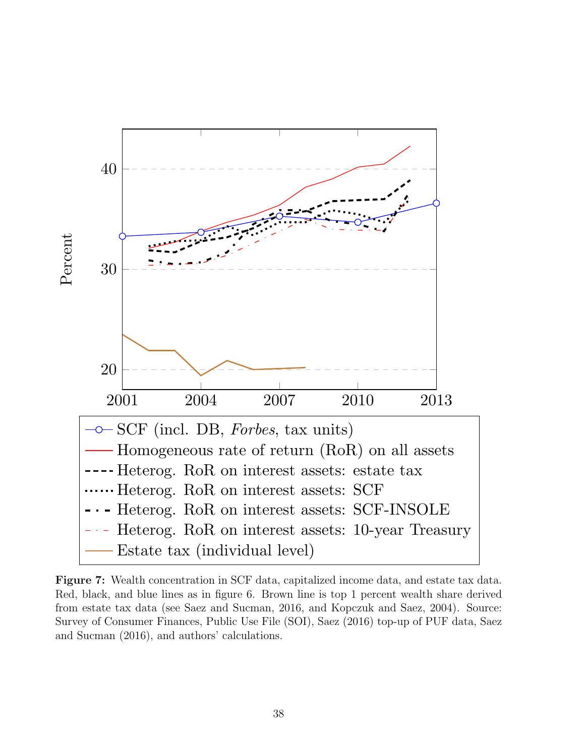

Figure 7: Wealth concentration in SCF data, capitalized income data, and estate tax data. Red, black, and blue lines as in figure 6. Brown line is top 1 percent wealth share derived from estate tax data (see Saez and Sucman, 2016, and Kopczuk and Saez, 2004). Source: Survey of Consumer Finances, Public Use File (SOI), Saez (2016) top-up of PUF data, Saez and Sucman (2016), and authors' calculations.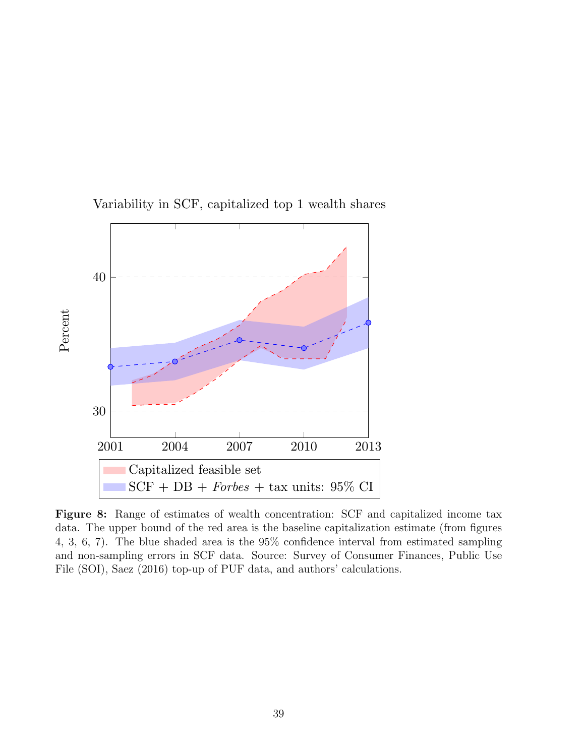

Variability in SCF, capitalized top 1 wealth shares

Figure 8: Range of estimates of wealth concentration: SCF and capitalized income tax data. The upper bound of the red area is the baseline capitalization estimate (from figures 4, 3, 6, 7). The blue shaded area is the 95% confidence interval from estimated sampling and non-sampling errors in SCF data. Source: Survey of Consumer Finances, Public Use File (SOI), Saez (2016) top-up of PUF data, and authors' calculations.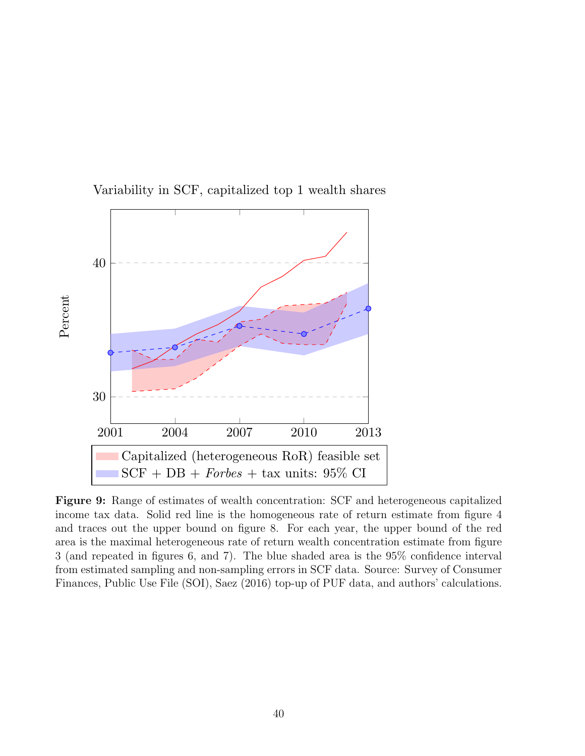

Variability in SCF, capitalized top 1 wealth shares

Figure 9: Range of estimates of wealth concentration: SCF and heterogeneous capitalized income tax data. Solid red line is the homogeneous rate of return estimate from figure 4 and traces out the upper bound on figure 8. For each year, the upper bound of the red area is the maximal heterogeneous rate of return wealth concentration estimate from figure 3 (and repeated in figures 6, and 7). The blue shaded area is the 95% confidence interval from estimated sampling and non-sampling errors in SCF data. Source: Survey of Consumer Finances, Public Use File (SOI), Saez (2016) top-up of PUF data, and authors' calculations.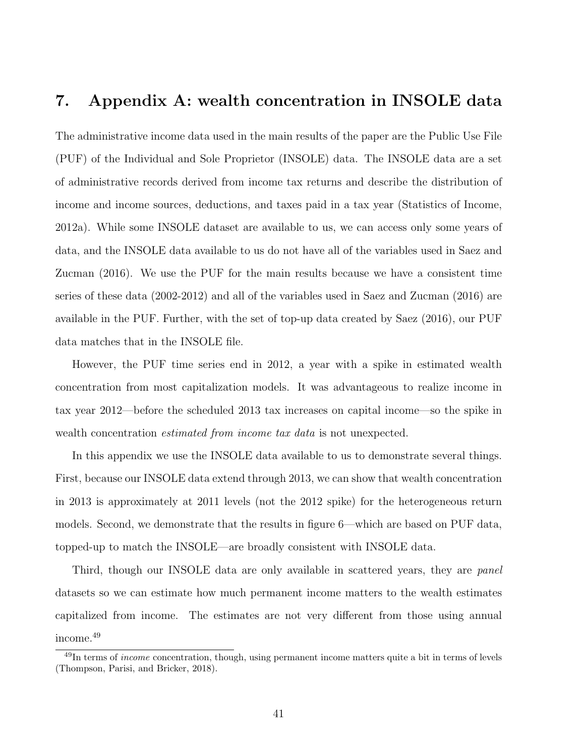# 7. Appendix A: wealth concentration in INSOLE data

The administrative income data used in the main results of the paper are the Public Use File (PUF) of the Individual and Sole Proprietor (INSOLE) data. The INSOLE data are a set of administrative records derived from income tax returns and describe the distribution of income and income sources, deductions, and taxes paid in a tax year (Statistics of Income, 2012a). While some INSOLE dataset are available to us, we can access only some years of data, and the INSOLE data available to us do not have all of the variables used in Saez and Zucman (2016). We use the PUF for the main results because we have a consistent time series of these data (2002-2012) and all of the variables used in Saez and Zucman (2016) are available in the PUF. Further, with the set of top-up data created by Saez (2016), our PUF data matches that in the INSOLE file.

However, the PUF time series end in 2012, a year with a spike in estimated wealth concentration from most capitalization models. It was advantageous to realize income in tax year 2012—before the scheduled 2013 tax increases on capital income—so the spike in wealth concentration estimated from income tax data is not unexpected.

In this appendix we use the INSOLE data available to us to demonstrate several things. First, because our INSOLE data extend through 2013, we can show that wealth concentration in 2013 is approximately at 2011 levels (not the 2012 spike) for the heterogeneous return models. Second, we demonstrate that the results in figure 6—which are based on PUF data, topped-up to match the INSOLE—are broadly consistent with INSOLE data.

Third, though our INSOLE data are only available in scattered years, they are *panel* datasets so we can estimate how much permanent income matters to the wealth estimates capitalized from income. The estimates are not very different from those using annual income.<sup>49</sup>

 $^{49}$ In terms of *income* concentration, though, using permanent income matters quite a bit in terms of levels (Thompson, Parisi, and Bricker, 2018).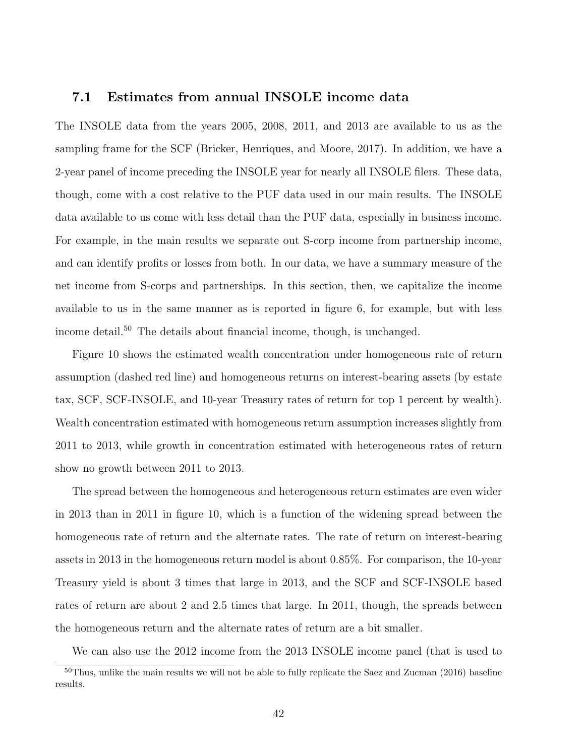#### 7.1 Estimates from annual INSOLE income data

The INSOLE data from the years 2005, 2008, 2011, and 2013 are available to us as the sampling frame for the SCF (Bricker, Henriques, and Moore, 2017). In addition, we have a 2-year panel of income preceding the INSOLE year for nearly all INSOLE filers. These data, though, come with a cost relative to the PUF data used in our main results. The INSOLE data available to us come with less detail than the PUF data, especially in business income. For example, in the main results we separate out S-corp income from partnership income, and can identify profits or losses from both. In our data, we have a summary measure of the net income from S-corps and partnerships. In this section, then, we capitalize the income available to us in the same manner as is reported in figure 6, for example, but with less income detail.<sup>50</sup> The details about financial income, though, is unchanged.

Figure 10 shows the estimated wealth concentration under homogeneous rate of return assumption (dashed red line) and homogeneous returns on interest-bearing assets (by estate tax, SCF, SCF-INSOLE, and 10-year Treasury rates of return for top 1 percent by wealth). Wealth concentration estimated with homogeneous return assumption increases slightly from 2011 to 2013, while growth in concentration estimated with heterogeneous rates of return show no growth between 2011 to 2013.

The spread between the homogeneous and heterogeneous return estimates are even wider in 2013 than in 2011 in figure 10, which is a function of the widening spread between the homogeneous rate of return and the alternate rates. The rate of return on interest-bearing assets in 2013 in the homogeneous return model is about 0.85%. For comparison, the 10-year Treasury yield is about 3 times that large in 2013, and the SCF and SCF-INSOLE based rates of return are about 2 and 2.5 times that large. In 2011, though, the spreads between the homogeneous return and the alternate rates of return are a bit smaller.

We can also use the 2012 income from the 2013 INSOLE income panel (that is used to

 $50$ Thus, unlike the main results we will not be able to fully replicate the Saez and Zucman (2016) baseline results.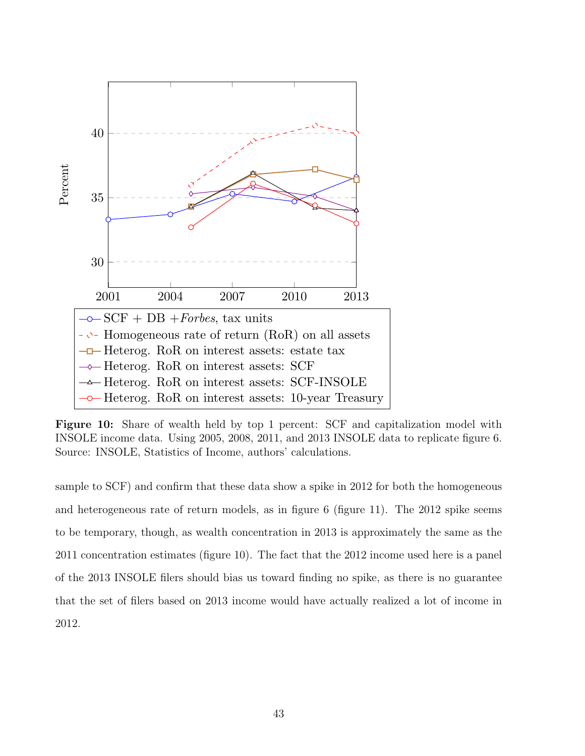

Figure 10: Share of wealth held by top 1 percent: SCF and capitalization model with INSOLE income data. Using 2005, 2008, 2011, and 2013 INSOLE data to replicate figure 6. Source: INSOLE, Statistics of Income, authors' calculations.

sample to SCF) and confirm that these data show a spike in 2012 for both the homogeneous and heterogeneous rate of return models, as in figure 6 (figure 11). The 2012 spike seems to be temporary, though, as wealth concentration in 2013 is approximately the same as the 2011 concentration estimates (figure 10). The fact that the 2012 income used here is a panel of the 2013 INSOLE filers should bias us toward finding no spike, as there is no guarantee that the set of filers based on 2013 income would have actually realized a lot of income in 2012.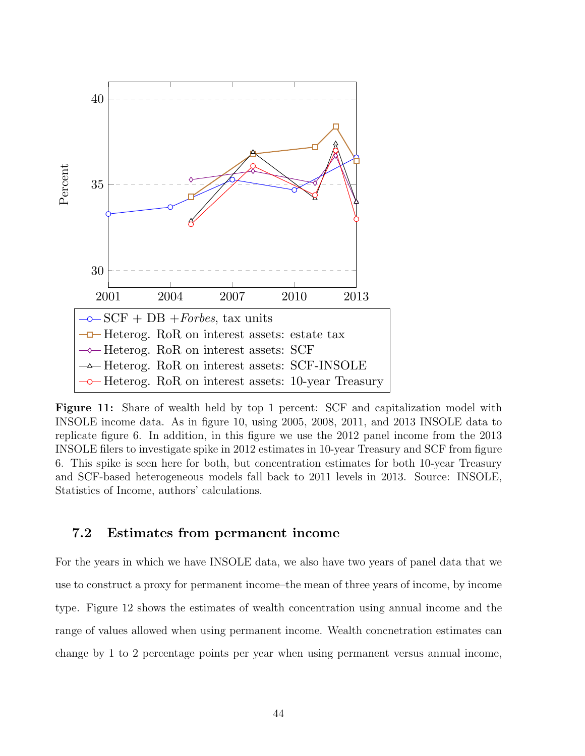

Figure 11: Share of wealth held by top 1 percent: SCF and capitalization model with INSOLE income data. As in figure 10, using 2005, 2008, 2011, and 2013 INSOLE data to replicate figure 6. In addition, in this figure we use the 2012 panel income from the 2013 INSOLE filers to investigate spike in 2012 estimates in 10-year Treasury and SCF from figure 6. This spike is seen here for both, but concentration estimates for both 10-year Treasury and SCF-based heterogeneous models fall back to 2011 levels in 2013. Source: INSOLE, Statistics of Income, authors' calculations.

#### 7.2 Estimates from permanent income

For the years in which we have INSOLE data, we also have two years of panel data that we use to construct a proxy for permanent income–the mean of three years of income, by income type. Figure 12 shows the estimates of wealth concentration using annual income and the range of values allowed when using permanent income. Wealth concnetration estimates can change by 1 to 2 percentage points per year when using permanent versus annual income,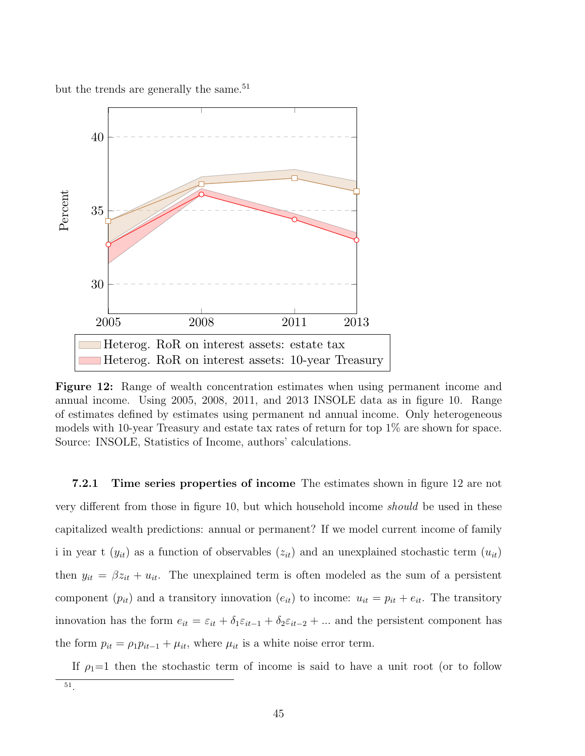but the trends are generally the same.<sup>51</sup>



Figure 12: Range of wealth concentration estimates when using permanent income and annual income. Using 2005, 2008, 2011, and 2013 INSOLE data as in figure 10. Range of estimates defined by estimates using permanent nd annual income. Only heterogeneous models with 10-year Treasury and estate tax rates of return for top 1% are shown for space. Source: INSOLE, Statistics of Income, authors' calculations.

7.2.1 Time series properties of income The estimates shown in figure 12 are not very different from those in figure 10, but which household income should be used in these capitalized wealth predictions: annual or permanent? If we model current income of family i in year t  $(y_{it})$  as a function of observables  $(z_{it})$  and an unexplained stochastic term  $(u_{it})$ then  $y_{it} = \beta z_{it} + u_{it}$ . The unexplained term is often modeled as the sum of a persistent component  $(p_{it})$  and a transitory innovation  $(e_{it})$  to income:  $u_{it} = p_{it} + e_{it}$ . The transitory innovation has the form  $e_{it} = \varepsilon_{it} + \delta_1 \varepsilon_{it-1} + \delta_2 \varepsilon_{it-2} + \dots$  and the persistent component has the form  $p_{it} = \rho_1 p_{it-1} + \mu_{it}$ , where  $\mu_{it}$  is a white noise error term.

If  $\rho_1=1$  then the stochastic term of income is said to have a unit root (or to follow

<sup>51</sup> .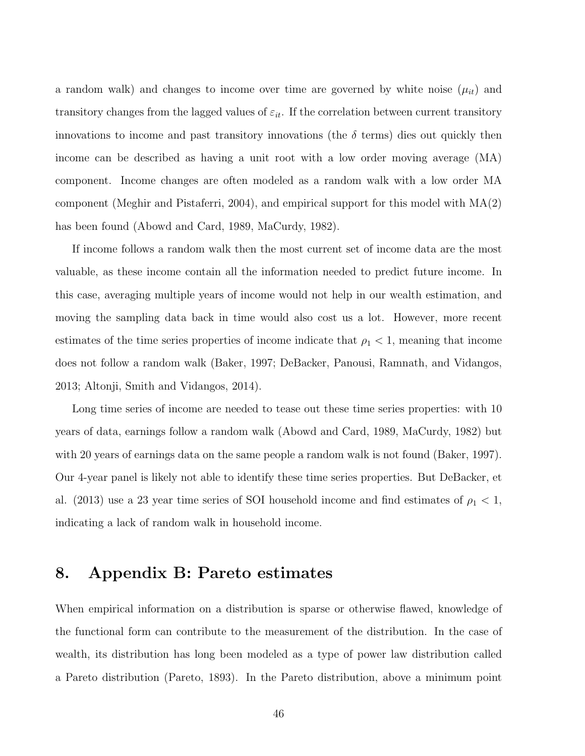a random walk) and changes to income over time are governed by white noise  $(\mu_{it})$  and transitory changes from the lagged values of  $\varepsilon_{it}$ . If the correlation between current transitory innovations to income and past transitory innovations (the  $\delta$  terms) dies out quickly then income can be described as having a unit root with a low order moving average (MA) component. Income changes are often modeled as a random walk with a low order MA component (Meghir and Pistaferri, 2004), and empirical support for this model with MA(2) has been found (Abowd and Card, 1989, MaCurdy, 1982).

If income follows a random walk then the most current set of income data are the most valuable, as these income contain all the information needed to predict future income. In this case, averaging multiple years of income would not help in our wealth estimation, and moving the sampling data back in time would also cost us a lot. However, more recent estimates of the time series properties of income indicate that  $\rho_1 < 1$ , meaning that income does not follow a random walk (Baker, 1997; DeBacker, Panousi, Ramnath, and Vidangos, 2013; Altonji, Smith and Vidangos, 2014).

Long time series of income are needed to tease out these time series properties: with 10 years of data, earnings follow a random walk (Abowd and Card, 1989, MaCurdy, 1982) but with 20 years of earnings data on the same people a random walk is not found (Baker, 1997). Our 4-year panel is likely not able to identify these time series properties. But DeBacker, et al. (2013) use a 23 year time series of SOI household income and find estimates of  $\rho_1 < 1$ , indicating a lack of random walk in household income.

## 8. Appendix B: Pareto estimates

When empirical information on a distribution is sparse or otherwise flawed, knowledge of the functional form can contribute to the measurement of the distribution. In the case of wealth, its distribution has long been modeled as a type of power law distribution called a Pareto distribution (Pareto, 1893). In the Pareto distribution, above a minimum point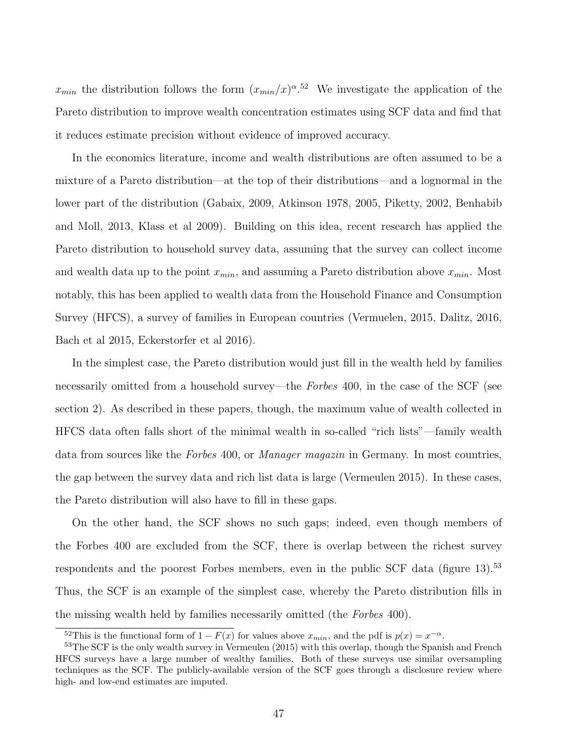$x_{min}$  the distribution follows the form  $(x_{min}/x)^{\alpha}$ .<sup>52</sup> We investigate the application of the Pareto distribution to improve wealth concentration estimates using SCF data and find that it reduces estimate precision without evidence of improved accuracy.

In the economics literature, income and wealth distributions are often assumed to be a mixture of a Pareto distribution—at the top of their distributions—and a lognormal in the lower part of the distribution (Gabaix, 2009, Atkinson 1978, 2005, Piketty, 2002, Benhabib and Moll, 2013, Klass et al 2009). Building on this idea, recent research has applied the Pareto distribution to household survey data, assuming that the survey can collect income and wealth data up to the point  $x_{min}$ , and assuming a Pareto distribution above  $x_{min}$ . Most notably, this has been applied to wealth data from the Household Finance and Consumption Survey (HFCS), a survey of families in European countries (Vermuelen, 2015, Dalitz, 2016, Bach et al 2015, Eckerstorfer et al 2016).

In the simplest case, the Pareto distribution would just fill in the wealth held by families necessarily omitted from a household survey—the Forbes 400, in the case of the SCF (see section 2). As described in these papers, though, the maximum value of wealth collected in HFCS data often falls short of the minimal wealth in so-called "rich lists"—family wealth data from sources like the Forbes 400, or Manager magazin in Germany. In most countries, the gap between the survey data and rich list data is large (Vermeulen 2015). In these cases, the Pareto distribution will also have to fill in these gaps.

On the other hand, the SCF shows no such gaps; indeed, even though members of the Forbes 400 are excluded from the SCF, there is overlap between the richest survey respondents and the poorest Forbes members, even in the public SCF data (figure 13).<sup>53</sup> Thus, the SCF is an example of the simplest case, whereby the Pareto distribution fills in the missing wealth held by families necessarily omitted (the Forbes 400).

<sup>&</sup>lt;sup>52</sup>This is the functional form of  $1 - F(x)$  for values above  $x_{min}$ , and the pdf is  $p(x) = x^{-\alpha}$ .

<sup>&</sup>lt;sup>53</sup>The SCF is the only wealth survey in Vermeulen (2015) with this overlap, though the Spanish and French HFCS surveys have a large number of wealthy families. Both of these surveys use similar oversampling techniques as the SCF. The publicly-available version of the SCF goes through a disclosure review where high- and low-end estimates are imputed.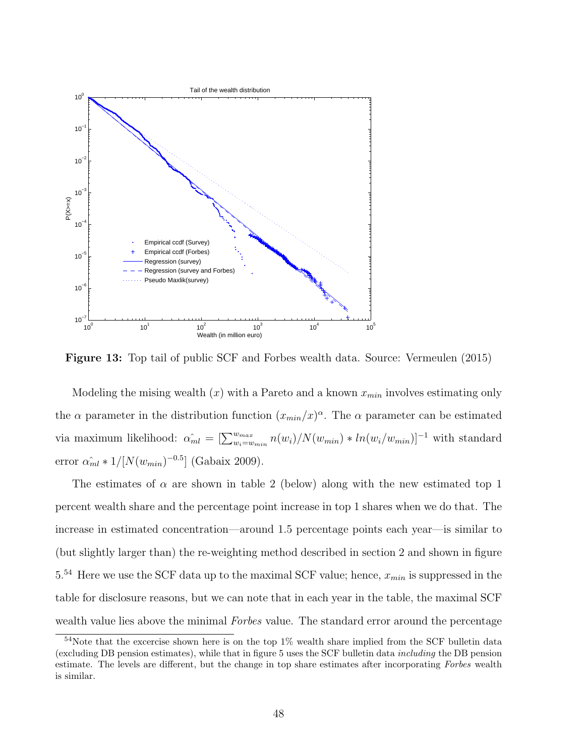

Figure 13: Top tail of public SCF and Forbes wealth data. Source: Vermeulen (2015)

via maximum likelihood:  $\hat{\alpha_{ml}} = \left[\sum_{w_i=w_{min}}^{w_{max}} n(w_i)/N(w_{min}) * ln(w_i/w_{min})\right]^{-1}$  with standard Modeling the mising wealth  $(x)$  with a Pareto and a known  $x_{min}$  involves estimating only the  $\alpha$  parameter in the distribution function  $(x_{min}/x)^{\alpha}$ . The  $\alpha$  parameter can be estimated error  $\hat{\alpha_{ml}} * 1/[N(w_{min})^{-0.5}]$  (Gabaix 2009).

The estimates of  $\alpha$  are shown in table 2 (below) along with the new estimated top 1 percent wealth share and the percentage point increase in top 1 shares when we do that. The increase in estimated concentration—around 1.5 percentage points each year—is similar to (but slightly larger than) the re-weighting method described in section 2 and shown in figure  $5.54$  Here we use the SCF data up to the maximal SCF value; hence,  $x_{min}$  is suppressed in the table for disclosure reasons, but we can note that in each year in the table, the maximal SCF wealth value lies above the minimal *Forbes* value. The standard error around the percentage

<sup>54</sup>Note that the excercise shown here is on the top 1% wealth share implied from the SCF bulletin data (excluding DB pension estimates), while that in figure 5 uses the SCF bulletin data including the DB pension estimate. The levels are different, but the change in top share estimates after incorporating Forbes wealth is similar.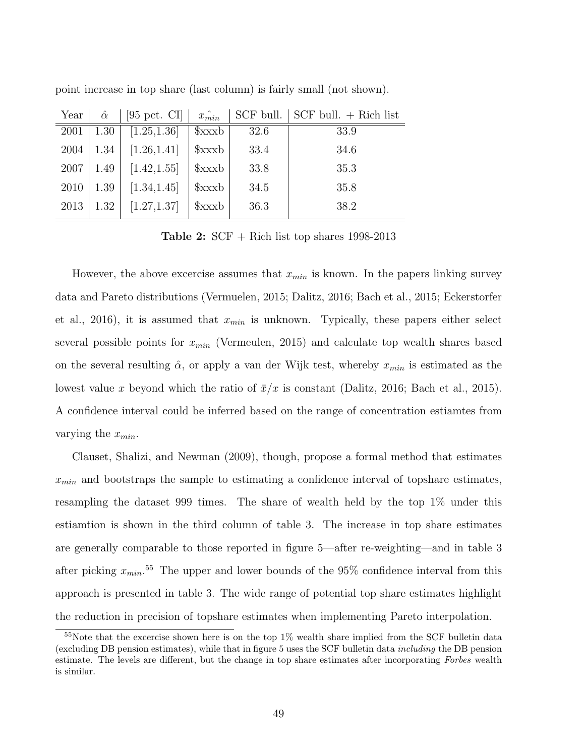| Year | $\hat{\alpha}$ | $[95 \text{ pct. CI}]$ | $x_{min}$ |      | $SCF$ bull. $SCF$ bull. $+$ Rich list |
|------|----------------|------------------------|-----------|------|---------------------------------------|
| 2001 | 1.30           | [1.25, 1.36]           | xxxb      | 32.6 | 33.9                                  |
| 2004 | 1.34           | [1.26, 1.41]           | xxxb      | 33.4 | 34.6                                  |
| 2007 | 1.49           | [1.42, 1.55]           | xxxb      | 33.8 | 35.3                                  |
| 2010 | 1.39           | [1.34, 1.45]           | xxxb      | 34.5 | 35.8                                  |
| 2013 | 1.32           | [1.27, 1.37]           | xxxb      | 36.3 | 38.2                                  |

point increase in top share (last column) is fairly small (not shown).

**Table 2:**  $SCF + Rich$  list top shares 1998-2013

However, the above excercise assumes that  $x_{min}$  is known. In the papers linking survey data and Pareto distributions (Vermuelen, 2015; Dalitz, 2016; Bach et al., 2015; Eckerstorfer et al., 2016), it is assumed that  $x_{min}$  is unknown. Typically, these papers either select several possible points for  $x_{min}$  (Vermeulen, 2015) and calculate top wealth shares based on the several resulting  $\hat{\alpha}$ , or apply a van der Wijk test, whereby  $x_{min}$  is estimated as the lowest value x beyond which the ratio of  $\bar{x}/x$  is constant (Dalitz, 2016; Bach et al., 2015). A confidence interval could be inferred based on the range of concentration estiamtes from varying the  $x_{min}$ .

Clauset, Shalizi, and Newman (2009), though, propose a formal method that estimates  $x_{min}$  and bootstraps the sample to estimating a confidence interval of topshare estimates, resampling the dataset 999 times. The share of wealth held by the top 1% under this estiamtion is shown in the third column of table 3. The increase in top share estimates are generally comparable to those reported in figure 5—after re-weighting—and in table 3 after picking  $x_{min}$ <sup>55</sup>. The upper and lower bounds of the 95% confidence interval from this approach is presented in table 3. The wide range of potential top share estimates highlight the reduction in precision of topshare estimates when implementing Pareto interpolation.

<sup>&</sup>lt;sup>55</sup>Note that the excercise shown here is on the top 1% wealth share implied from the SCF bulletin data (excluding DB pension estimates), while that in figure 5 uses the SCF bulletin data including the DB pension estimate. The levels are different, but the change in top share estimates after incorporating Forbes wealth is similar.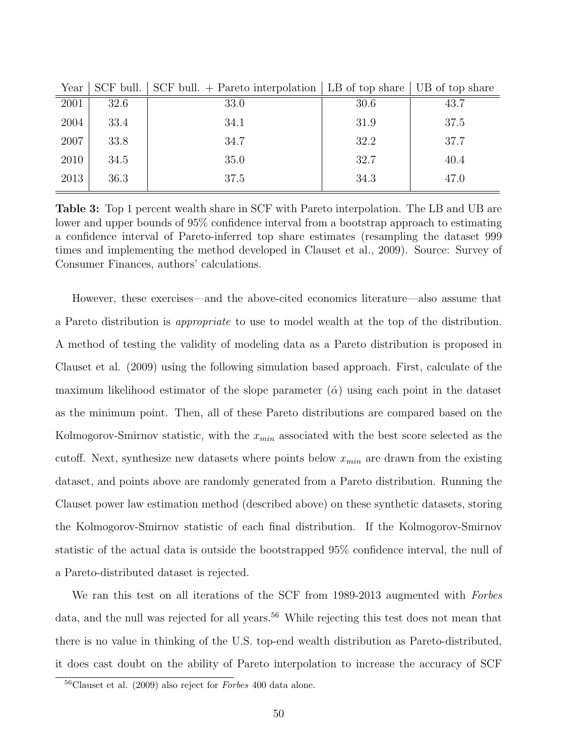| $\sim$ $\sim$ $\sim$ $\sim$ | NUL NULLI |      |      |      |
|-----------------------------|-----------|------|------|------|
| 2001                        | 32.6      | 33.0 | 30.6 | 43.7 |
| 2004                        | 33.4      | 34.1 | 31.9 | 37.5 |
| 2007                        | 33.8      | 34.7 | 32.2 | 37.7 |
| 2010                        | 34.5      | 35.0 | 32.7 | 40.4 |
| 2013                        | 36.3      | 37.5 | 34.3 | 47.0 |
|                             |           |      |      |      |

Year SCF bull. SCF bull. + Pareto interpolation LB of top share UB of top share

Table 3: Top 1 percent wealth share in SCF with Pareto interpolation. The LB and UB are lower and upper bounds of 95% confidence interval from a bootstrap approach to estimating a confidence interval of Pareto-inferred top share estimates (resampling the dataset 999 times and implementing the method developed in Clauset et al., 2009). Source: Survey of Consumer Finances, authors' calculations.

However, these exercises—and the above-cited economics literature—also assume that a Pareto distribution is appropriate to use to model wealth at the top of the distribution. A method of testing the validity of modeling data as a Pareto distribution is proposed in Clauset et al. (2009) using the following simulation based approach. First, calculate of the maximum likelihood estimator of the slope parameter  $(\hat{\alpha})$  using each point in the dataset as the minimum point. Then, all of these Pareto distributions are compared based on the Kolmogorov-Smirnov statistic, with the  $x_{min}$  associated with the best score selected as the cutoff. Next, synthesize new datasets where points below  $x_{min}$  are drawn from the existing dataset, and points above are randomly generated from a Pareto distribution. Running the Clauset power law estimation method (described above) on these synthetic datasets, storing the Kolmogorov-Smirnov statistic of each final distribution. If the Kolmogorov-Smirnov statistic of the actual data is outside the bootstrapped 95% confidence interval, the null of a Pareto-distributed dataset is rejected.

We ran this test on all iterations of the SCF from 1989-2013 augmented with Forbes data, and the null was rejected for all years.<sup>56</sup> While rejecting this test does not mean that there is no value in thinking of the U.S. top-end wealth distribution as Pareto-distributed, it does cast doubt on the ability of Pareto interpolation to increase the accuracy of SCF

 $56$ Clauset et al. (2009) also reject for *Forbes* 400 data alone.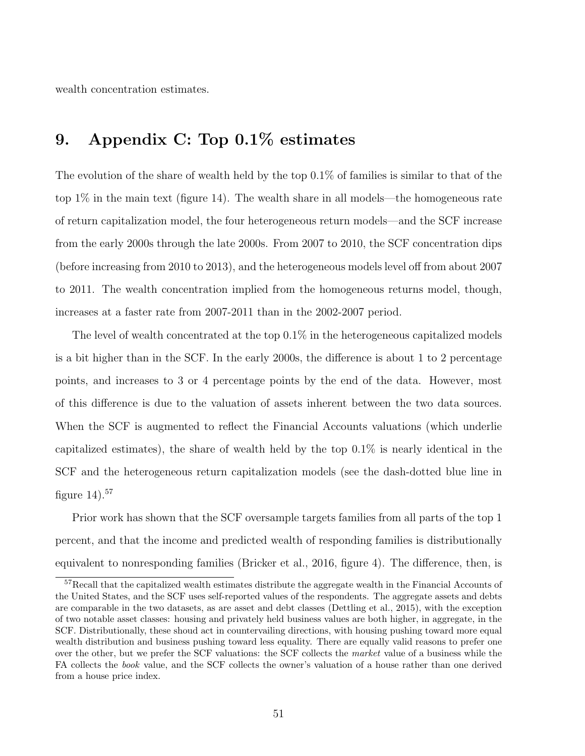wealth concentration estimates.

# 9. Appendix C: Top 0.1% estimates

The evolution of the share of wealth held by the top  $0.1\%$  of families is similar to that of the top 1% in the main text (figure 14). The wealth share in all models—the homogeneous rate of return capitalization model, the four heterogeneous return models—and the SCF increase from the early 2000s through the late 2000s. From 2007 to 2010, the SCF concentration dips (before increasing from 2010 to 2013), and the heterogeneous models level off from about 2007 to 2011. The wealth concentration implied from the homogeneous returns model, though, increases at a faster rate from 2007-2011 than in the 2002-2007 period.

The level of wealth concentrated at the top 0.1% in the heterogeneous capitalized models is a bit higher than in the SCF. In the early 2000s, the difference is about 1 to 2 percentage points, and increases to 3 or 4 percentage points by the end of the data. However, most of this difference is due to the valuation of assets inherent between the two data sources. When the SCF is augmented to reflect the Financial Accounts valuations (which underlie capitalized estimates), the share of wealth held by the top 0.1% is nearly identical in the SCF and the heterogeneous return capitalization models (see the dash-dotted blue line in figure  $14$ ).<sup>57</sup>

Prior work has shown that the SCF oversample targets families from all parts of the top 1 percent, and that the income and predicted wealth of responding families is distributionally equivalent to nonresponding families (Bricker et al., 2016, figure 4). The difference, then, is

<sup>&</sup>lt;sup>57</sup>Recall that the capitalized wealth estimates distribute the aggregate wealth in the Financial Accounts of the United States, and the SCF uses self-reported values of the respondents. The aggregate assets and debts are comparable in the two datasets, as are asset and debt classes (Dettling et al., 2015), with the exception of two notable asset classes: housing and privately held business values are both higher, in aggregate, in the SCF. Distributionally, these shoud act in countervailing directions, with housing pushing toward more equal wealth distribution and business pushing toward less equality. There are equally valid reasons to prefer one over the other, but we prefer the SCF valuations: the SCF collects the market value of a business while the FA collects the book value, and the SCF collects the owner's valuation of a house rather than one derived from a house price index.